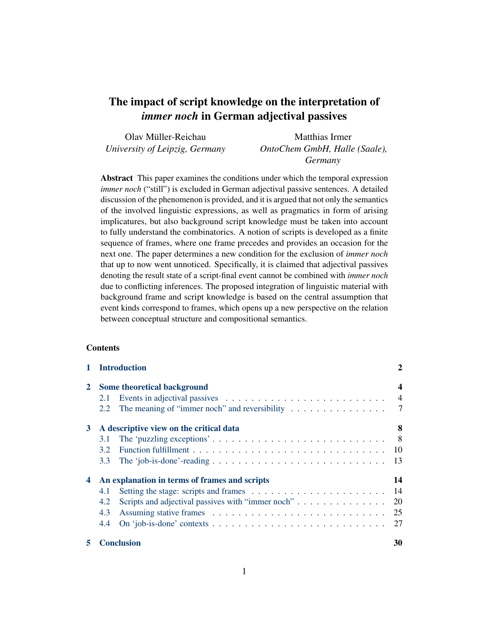# The impact of script knowledge on the interpretation of *immer noch* in German adjectival passives

| Olav Müller-Reichau            | Matthias Irmer                |
|--------------------------------|-------------------------------|
| University of Leipzig, Germany | OntoChem GmbH, Halle (Saale), |
|                                | Germany                       |

Abstract This paper examines the conditions under which the temporal expression *immer noch* ("still") is excluded in German adjectival passive sentences. A detailed discussion of the phenomenon is provided, and it is argued that not only the semantics of the involved linguistic expressions, as well as pragmatics in form of arising implicatures, but also background script knowledge must be taken into account to fully understand the combinatorics. A notion of scripts is developed as a finite sequence of frames, where one frame precedes and provides an occasion for the next one. The paper determines a new condition for the exclusion of *immer noch* that up to now went unnoticed. Specifically, it is claimed that adjectival passives denoting the result state of a script-final event cannot be combined with *immer noch* due to conflicting inferences. The proposed integration of linguistic material with background frame and script knowledge is based on the central assumption that event kinds correspond to frames, which opens up a new perspective on the relation between conceptual structure and compositional semantics.

#### **Contents**

| 1 Introduction |               |                                                                                     | 2                       |  |
|----------------|---------------|-------------------------------------------------------------------------------------|-------------------------|--|
| $\mathbf{2}$   |               | Some theoretical background                                                         | $\overline{\mathbf{4}}$ |  |
|                | 2.1           |                                                                                     | $\overline{4}$          |  |
|                | 2.2           | The meaning of "immer noch" and reversibility $\dots \dots \dots \dots \dots \dots$ |                         |  |
| 3              |               | A descriptive view on the critical data                                             | 8                       |  |
|                | 3.1           |                                                                                     |                         |  |
|                | $3.2^{\circ}$ |                                                                                     |                         |  |
|                | 3.3           |                                                                                     | -13                     |  |
| 4              |               | An explanation in terms of frames and scripts                                       | 14                      |  |
|                | 4.1           |                                                                                     | 14                      |  |
|                | 4.2           |                                                                                     | <b>20</b>               |  |
|                | 4.3           |                                                                                     | 25                      |  |
|                | 4.4           |                                                                                     |                         |  |
| 5.             |               | <b>Conclusion</b>                                                                   | 30                      |  |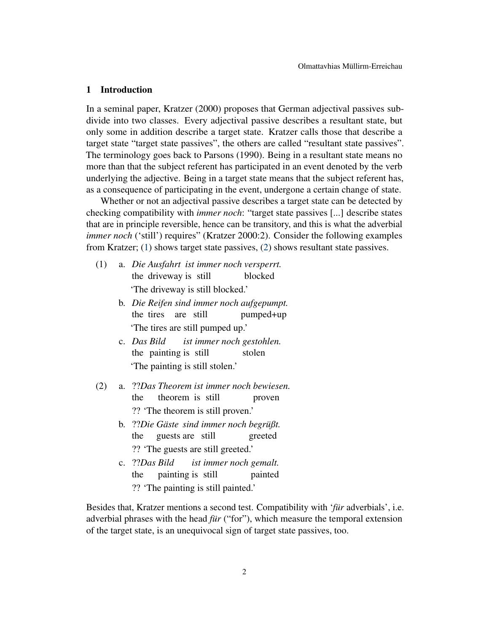#### <span id="page-1-0"></span>1 Introduction

In a seminal paper, Kratzer (2000) proposes that German adjectival passives subdivide into two classes. Every adjectival passive describes a resultant state, but only some in addition describe a target state. Kratzer calls those that describe a target state "target state passives", the others are called "resultant state passives". The terminology goes back to Parsons (1990). Being in a resultant state means no more than that the subject referent has participated in an event denoted by the verb underlying the adjective. Being in a target state means that the subject referent has, as a consequence of participating in the event, undergone a certain change of state.

Whether or not an adjectival passive describes a target state can be detected by checking compatibility with *immer noch*: "target state passives [...] describe states that are in principle reversible, hence can be transitory, and this is what the adverbial *immer noch* ('still') requires" (Kratzer 2000:2). Consider the following examples from Kratzer; [\(1\)](#page-1-1) shows target state passives, [\(2\)](#page-1-2) shows resultant state passives.

- <span id="page-1-1"></span>(1) a. *Die Ausfahrt ist immer noch versperrt.* the driveway is still blocked 'The driveway is still blocked.'
	- b. *Die Reifen sind immer noch aufgepumpt.* the tires are still pumped+up 'The tires are still pumped up.'
	- c. *Das Bild* the painting is still *ist immer noch gestohlen.* stolen 'The painting is still stolen.'
- <span id="page-1-2"></span>(2) a. ??*Das Theorem ist immer noch bewiesen.* the theorem is still proven ?? 'The theorem is still proven.'
	- b. ??*Die Gäste sind immer noch begrüßt.* the guests are still greeted ?? 'The guests are still greeted.'
	- c. ??*Das Bild* the painting is still *ist immer noch gemalt.* painted ?? 'The painting is still painted.'

Besides that, Kratzer mentions a second test. Compatibility with '*für* adverbials', i.e. adverbial phrases with the head *für* ("for"), which measure the temporal extension of the target state, is an unequivocal sign of target state passives, too.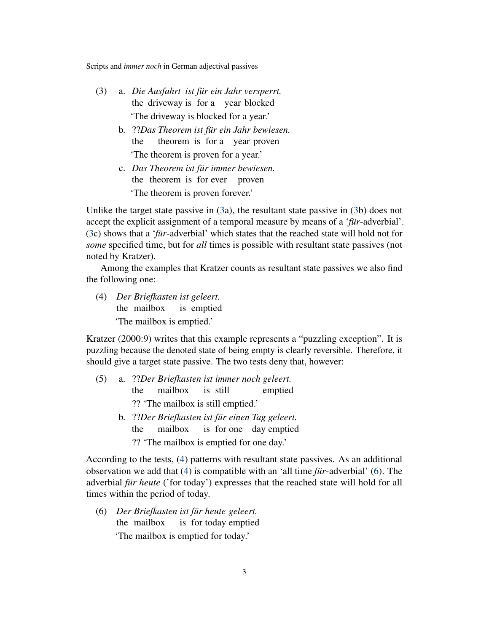- <span id="page-2-0"></span>(3) a. *Die Ausfahrt ist für ein Jahr versperrt.* the driveway is for a year blocked 'The driveway is blocked for a year.'
	- b. ??*Das Theorem ist für ein Jahr bewiesen.* the theorem is for a year proven 'The theorem is proven for a year.'
	- c. *Das Theorem ist für immer bewiesen.* the theorem is for ever proven 'The theorem is proven forever.'

Unlike the target state passive in [\(3a](#page-2-0)), the resultant state passive in [\(3b](#page-2-0)) does not accept the explicit assignment of a temporal measure by means of a '*für*-adverbial'. [\(3c](#page-2-0)) shows that a '*für*-adverbial' which states that the reached state will hold not for *some* specified time, but for *all* times is possible with resultant state passives (not noted by Kratzer).

Among the examples that Kratzer counts as resultant state passives we also find the following one:

<span id="page-2-1"></span>(4) *Der Briefkasten ist geleert.* the mailbox is emptied 'The mailbox is emptied.'

Kratzer (2000:9) writes that this example represents a "puzzling exception". It is puzzling because the denoted state of being empty is clearly reversible. Therefore, it should give a target state passive. The two tests deny that, however:

- <span id="page-2-3"></span>(5) a. ??*Der Briefkasten ist immer noch geleert.* the mailbox is still emptied ?? 'The mailbox is still emptied.'
	- b. ??*Der Briefkasten ist für einen Tag geleert.* the mailbox is for one day emptied ?? 'The mailbox is emptied for one day.'

According to the tests, [\(4\)](#page-2-1) patterns with resultant state passives. As an additional observation we add that [\(4\)](#page-2-1) is compatible with an 'all time *für*-adverbial' [\(6\)](#page-2-2). The adverbial *für heute* ('for today') expresses that the reached state will hold for all times within the period of today.

<span id="page-2-2"></span>(6) *Der Briefkasten ist für heute geleert.* the mailbox is for today emptied 'The mailbox is emptied for today.'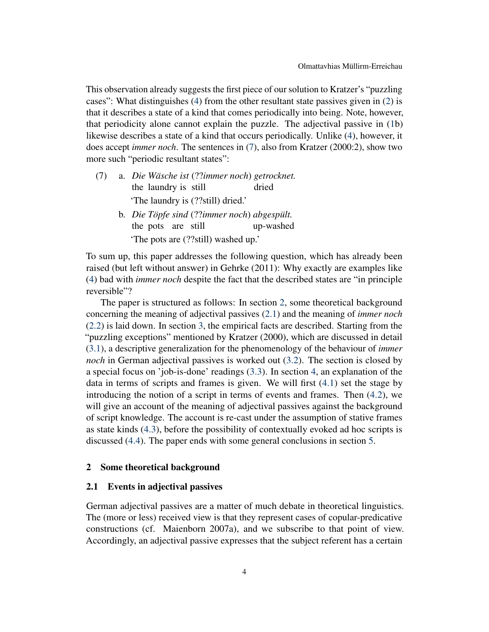This observation already suggests the first piece of our solution to Kratzer's "puzzling cases": What distinguishes [\(4\)](#page-2-1) from the other resultant state passives given in [\(2\)](#page-1-2) is that it describes a state of a kind that comes periodically into being. Note, however, that periodicity alone cannot explain the puzzle. The adjectival passive in [\(1b](#page-1-1)) likewise describes a state of a kind that occurs periodically. Unlike [\(4\)](#page-2-1), however, it does accept *immer noch*. The sentences in [\(7\)](#page-3-2), also from Kratzer (2000:2), show two more such "periodic resultant states":

- <span id="page-3-2"></span>(7) a. *Die Wäsche ist* (??*immer noch*) *getrocknet.* the laundry is still dried 'The laundry is (??still) dried.' b. *Die Töpfe sind* (??*immer noch*) *abgespült.*
	- the pots are still up-washed 'The pots are (??still) washed up.'

To sum up, this paper addresses the following question, which has already been raised (but left without answer) in Gehrke (2011): Why exactly are examples like [\(4\)](#page-2-1) bad with *immer noch* despite the fact that the described states are "in principle reversible"?

The paper is structured as follows: In section [2,](#page-3-0) some theoretical background concerning the meaning of adjectival passives [\(2.1\)](#page-3-1) and the meaning of *immer noch* [\(2.2\)](#page-6-0) is laid down. In section [3,](#page-7-0) the empirical facts are described. Starting from the "puzzling exceptions" mentioned by Kratzer (2000), which are discussed in detail [\(3.1\)](#page-7-1), a descriptive generalization for the phenomenology of the behaviour of *immer noch* in German adjectival passives is worked out [\(3.2\)](#page-9-0). The section is closed by a special focus on 'job-is-done' readings [\(3.3\)](#page-12-0). In section [4,](#page-13-0) an explanation of the data in terms of scripts and frames is given. We will first [\(4.1\)](#page-13-1) set the stage by introducing the notion of a script in terms of events and frames. Then [\(4.2\)](#page-19-0), we will give an account of the meaning of adjectival passives against the background of script knowledge. The account is re-cast under the assumption of stative frames as state kinds [\(4.3\)](#page-24-0), before the possibility of contextually evoked ad hoc scripts is discussed [\(4.4\)](#page-26-0). The paper ends with some general conclusions in section [5.](#page-29-0)

#### <span id="page-3-0"></span>2 Some theoretical background

#### <span id="page-3-1"></span>2.1 Events in adjectival passives

German adjectival passives are a matter of much debate in theoretical linguistics. The (more or less) received view is that they represent cases of copular-predicative constructions (cf. Maienborn 2007a), and we subscribe to that point of view. Accordingly, an adjectival passive expresses that the subject referent has a certain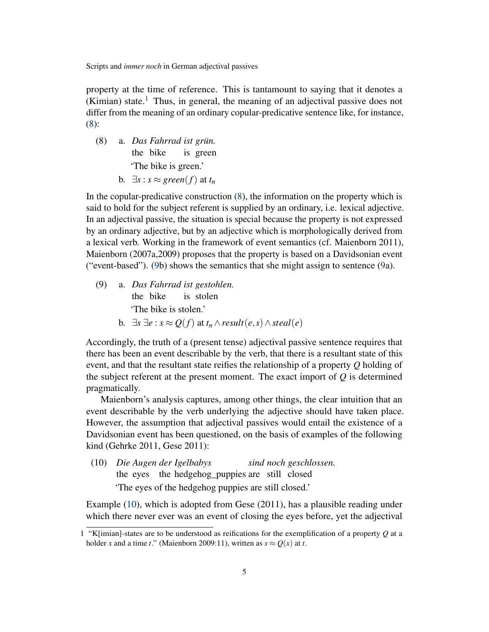property at the time of reference. This is tantamount to saying that it denotes a (Kimian) state.<sup>[1](#page-4-0)</sup> Thus, in general, the meaning of an adjectival passive does not differ from the meaning of an ordinary copular-predicative sentence like, for instance, [\(8\)](#page-4-1):

- <span id="page-4-1"></span>(8) a. *Das Fahrrad ist grün.* the bike is green 'The bike is green.'
	- **b.**  $\exists s$  : *s* ≈ *green*(*f*) at *t<sub>n</sub>*

In the copular-predicative construction [\(8\)](#page-4-1), the information on the property which is said to hold for the subject referent is supplied by an ordinary, i.e. lexical adjective. In an adjectival passive, the situation is special because the property is not expressed by an ordinary adjective, but by an adjective which is morphologically derived from a lexical verb. Working in the framework of event semantics (cf. Maienborn 2011), Maienborn (2007a,2009) proposes that the property is based on a Davidsonian event ("event-based"). [\(9b](#page-4-2)) shows the semantics that she might assign to sentence [\(9a](#page-4-2)).

- <span id="page-4-2"></span>(9) a. *Das Fahrrad ist gestohlen.* the bike is stolen 'The bike is stolen.'
	- **b.** ∃*s* ∃*e* : *s* ≈  $Q(f)$  at  $t_n \wedge result(e, s) \wedge steal(e)$

Accordingly, the truth of a (present tense) adjectival passive sentence requires that there has been an event describable by the verb, that there is a resultant state of this event, and that the resultant state reifies the relationship of a property *Q* holding of the subject referent at the present moment. The exact import of *Q* is determined pragmatically.

Maienborn's analysis captures, among other things, the clear intuition that an event describable by the verb underlying the adjective should have taken place. However, the assumption that adjectival passives would entail the existence of a Davidsonian event has been questioned, on the basis of examples of the following kind (Gehrke 2011, Gese 2011):

<span id="page-4-3"></span>(10) *Die Augen der Igelbabys* the eyes the hedgehog\_puppies are still closed *sind noch geschlossen.* 'The eyes of the hedgehog puppies are still closed.'

Example [\(10\)](#page-4-3), which is adopted from Gese (2011), has a plausible reading under which there never ever was an event of closing the eyes before, yet the adjectival

<span id="page-4-0"></span><sup>1</sup> "K[imian]-states are to be understood as reifications for the exemplification of a property *Q* at a holder *x* and a time *t*." (Maienborn 2009:11), written as  $s \approx Q(x)$  at *t*.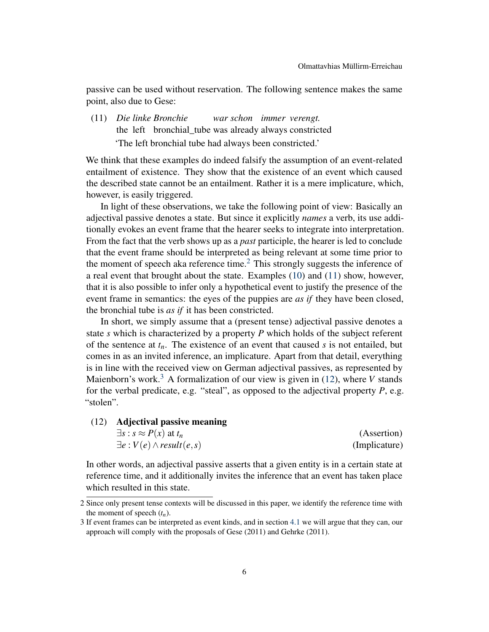passive can be used without reservation. The following sentence makes the same point, also due to Gese:

<span id="page-5-1"></span>(11) *Die linke Bronchie* the left bronchial\_tube was already always constricted *war schon immer verengt.* 'The left bronchial tube had always been constricted.'

We think that these examples do indeed falsify the assumption of an event-related entailment of existence. They show that the existence of an event which caused the described state cannot be an entailment. Rather it is a mere implicature, which, however, is easily triggered.

In light of these observations, we take the following point of view: Basically an adjectival passive denotes a state. But since it explicitly *names* a verb, its use additionally evokes an event frame that the hearer seeks to integrate into interpretation. From the fact that the verb shows up as a *past* participle, the hearer is led to conclude that the event frame should be interpreted as being relevant at some time prior to the moment of speech aka reference time.<sup>[2](#page-5-0)</sup> This strongly suggests the inference of a real event that brought about the state. Examples [\(10\)](#page-4-3) and [\(11\)](#page-5-1) show, however, that it is also possible to infer only a hypothetical event to justify the presence of the event frame in semantics: the eyes of the puppies are *as if* they have been closed, the bronchial tube is *as if* it has been constricted.

In short, we simply assume that a (present tense) adjectival passive denotes a state *s* which is characterized by a property *P* which holds of the subject referent of the sentence at *tn*. The existence of an event that caused *s* is not entailed, but comes in as an invited inference, an implicature. Apart from that detail, everything is in line with the received view on German adjectival passives, as represented by Maienborn's work.<sup>[3](#page-5-2)</sup> A formalization of our view is given in  $(12)$ , where *V* stands for the verbal predicate, e.g. "steal", as opposed to the adjectival property *P*, e.g. "stolen".

<span id="page-5-3"></span>(12) Adjectival passive meaning

| $\exists s : s \approx P(x)$ at $t_n$ | (Assertion)   |
|---------------------------------------|---------------|
| $\exists e: V(e) \wedge result(e, s)$ | (Implicature) |

In other words, an adjectival passive asserts that a given entity is in a certain state at reference time, and it additionally invites the inference that an event has taken place which resulted in this state.

<span id="page-5-0"></span><sup>2</sup> Since only present tense contexts will be discussed in this paper, we identify the reference time with the moment of speech  $(t_n)$ .

<span id="page-5-2"></span><sup>3</sup> If event frames can be interpreted as event kinds, and in section [4.1](#page-13-1) we will argue that they can, our approach will comply with the proposals of Gese (2011) and Gehrke (2011).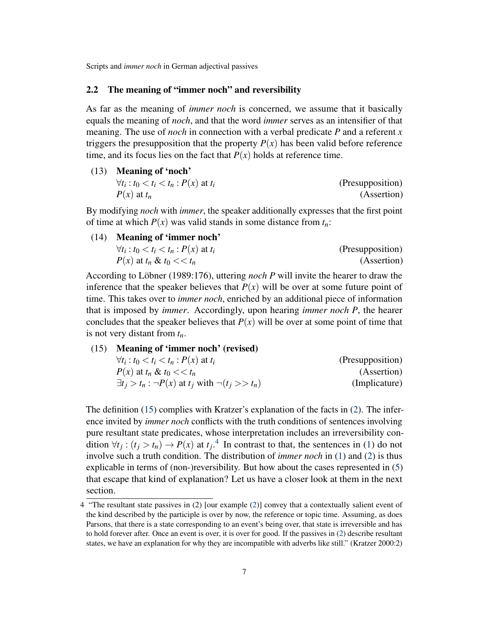#### <span id="page-6-0"></span>2.2 The meaning of "immer noch" and reversibility

As far as the meaning of *immer noch* is concerned, we assume that it basically equals the meaning of *noch*, and that the word *immer* serves as an intensifier of that meaning. The use of *noch* in connection with a verbal predicate *P* and a referent *x* triggers the presupposition that the property  $P(x)$  has been valid before reference time, and its focus lies on the fact that  $P(x)$  holds at reference time.

(13) Meaning of 'noch'  $\forall t_i : t_0 < t_i < t_n : P(x)$  at  $t_i$  (Presupposition)  $P(x)$  at  $t_n$  (Assertion)

By modifying *noch* with *immer*, the speaker additionally expresses that the first point of time at which  $P(x)$  was valid stands in some distance from  $t_n$ .

(14) Meaning of 'immer noch'  $\forall t_i : t_0 < t_i < t_n : P(x)$  at  $t_i$  (Presupposition)  $P(x)$  at  $t_n \& t_0 \ll t_n$  (Assertion)

According to Löbner (1989:176), uttering *noch P* will invite the hearer to draw the inference that the speaker believes that  $P(x)$  will be over at some future point of time. This takes over to *immer noch*, enriched by an additional piece of information that is imposed by *immer*. Accordingly, upon hearing *immer noch P*, the hearer concludes that the speaker believes that  $P(x)$  will be over at some point of time that is not very distant from *tn*.

<span id="page-6-1"></span>(15) Meaning of 'immer noch' (revised)

| $\forall t_i : t_0 < t_i < t_n : P(x)$ at $t_i$                  | (Presupposition) |
|------------------------------------------------------------------|------------------|
| $P(x)$ at $t_n \& t_0 \ll t_n$                                   | (Assertion)      |
| $\exists t_i > t_n : \neg P(x)$ at $t_i$ with $\neg(t_i >> t_n)$ | (Implicature)    |

The definition [\(15\)](#page-6-1) complies with Kratzer's explanation of the facts in [\(2\)](#page-1-2). The inference invited by *immer noch* conflicts with the truth conditions of sentences involving pure resultant state predicates, whose interpretation includes an irreversibility condition  $\forall t_j : (t_j > t_n) \rightarrow P(x)$  at  $t_j$ <sup>[4](#page-6-2)</sup>. In contrast to that, the sentences in [\(1\)](#page-1-1) do not involve such a truth condition. The distribution of *immer noch* in [\(1\)](#page-1-1) and [\(2\)](#page-1-2) is thus explicable in terms of (non-)reversibility. But how about the cases represented in [\(5\)](#page-2-3) that escape that kind of explanation? Let us have a closer look at them in the next section.

<span id="page-6-2"></span><sup>4</sup> "The resultant state passives in (2) [our example [\(2\)](#page-1-2)] convey that a contextually salient event of the kind described by the participle is over by now, the reference or topic time. Assuming, as does Parsons, that there is a state corresponding to an event's being over, that state is irreversible and has to hold forever after. Once an event is over, it is over for good. If the passives in [\(2\)](#page-1-2) describe resultant states, we have an explanation for why they are incompatible with adverbs like still." (Kratzer 2000:2)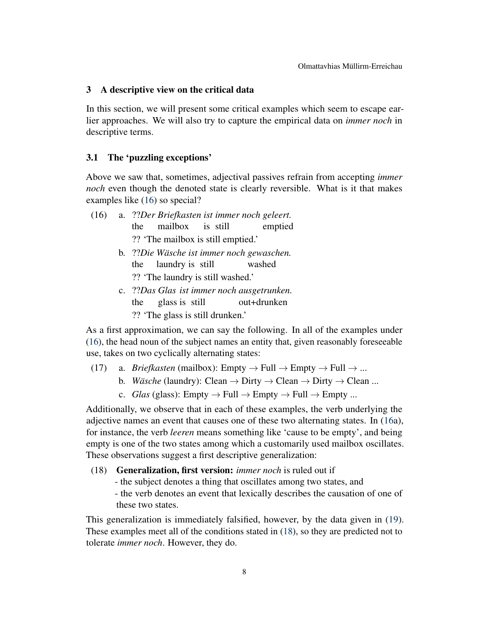#### <span id="page-7-0"></span>3 A descriptive view on the critical data

In this section, we will present some critical examples which seem to escape earlier approaches. We will also try to capture the empirical data on *immer noch* in descriptive terms.

# <span id="page-7-1"></span>3.1 The 'puzzling exceptions'

Above we saw that, sometimes, adjectival passives refrain from accepting *immer noch* even though the denoted state is clearly reversible. What is it that makes examples like [\(16\)](#page-7-2) so special?

- <span id="page-7-2"></span>(16) a. ??*Der Briefkasten ist immer noch geleert.* the mailbox is still emptied ?? 'The mailbox is still emptied.'
	- b. ??*Die Wäsche ist immer noch gewaschen.* the laundry is still washed ?? 'The laundry is still washed.'
	- c. ??*Das Glas ist immer noch ausgetrunken.* the glass is still out+drunken ?? 'The glass is still drunken.'

As a first approximation, we can say the following. In all of the examples under [\(16\)](#page-7-2), the head noun of the subject names an entity that, given reasonably foreseeable use, takes on two cyclically alternating states:

- (17) a. *Briefkasten* (mailbox): Empty  $\rightarrow$  Full  $\rightarrow$  Empty  $\rightarrow$  Full  $\rightarrow$  ...
	- b. *Wäsche* (laundry): Clean  $\rightarrow$  Dirty  $\rightarrow$  Clean  $\rightarrow$  Dirty  $\rightarrow$  Clean ...
	- c. *Glas* (glass): Empty  $\rightarrow$  Full  $\rightarrow$  Empty  $\rightarrow$  Full  $\rightarrow$  Empty ...

Additionally, we observe that in each of these examples, the verb underlying the adjective names an event that causes one of these two alternating states. In [\(16a](#page-7-2)), for instance, the verb *leeren* means something like 'cause to be empty', and being empty is one of the two states among which a customarily used mailbox oscillates. These observations suggest a first descriptive generalization:

## <span id="page-7-3"></span>(18) Generalization, first version: *immer noch* is ruled out if

- the subject denotes a thing that oscillates among two states, and
- the verb denotes an event that lexically describes the causation of one of these two states.

This generalization is immediately falsified, however, by the data given in [\(19\)](#page-8-0). These examples meet all of the conditions stated in [\(18\)](#page-7-3), so they are predicted not to tolerate *immer noch*. However, they do.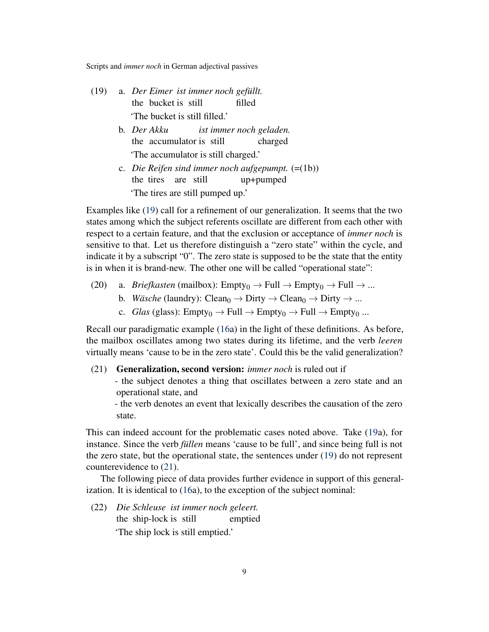- <span id="page-8-0"></span>(19) a. *Der Eimer ist immer noch gefüllt.* the bucket is still filled 'The bucket is still filled.'
	- b. *Der Akku* the accumulator is still *ist immer noch geladen.* charged 'The accumulator is still charged.'
	- c. *Die Reifen sind immer noch aufgepumpt.* (=(1b)) the tires are still up+pumped 'The tires are still pumped up.'

Examples like [\(19\)](#page-8-0) call for a refinement of our generalization. It seems that the two states among which the subject referents oscillate are different from each other with respect to a certain feature, and that the exclusion or acceptance of *immer noch* is sensitive to that. Let us therefore distinguish a "zero state" within the cycle, and indicate it by a subscript "0". The zero state is supposed to be the state that the entity is in when it is brand-new. The other one will be called "operational state":

- (20) a. *Briefkasten* (mailbox):  $Empty_0 \rightarrow Full \rightarrow Empty_0 \rightarrow Full \rightarrow ...$ 
	- b. *Wäsche* (laundry): Clean<sub>0</sub>  $\rightarrow$  Dirty  $\rightarrow$  Clean<sub>0</sub>  $\rightarrow$  Dirty  $\rightarrow$  ...
	- c. *Glas* (glass): Empty<sub>0</sub>  $\rightarrow$  Full  $\rightarrow$  Empty<sub>0</sub>  $\rightarrow$  Full  $\rightarrow$  Empty<sub>0</sub> ...

Recall our paradigmatic example [\(16a](#page-7-2)) in the light of these definitions. As before, the mailbox oscillates among two states during its lifetime, and the verb *leeren* virtually means 'cause to be in the zero state'. Could this be the valid generalization?

#### <span id="page-8-1"></span>(21) Generalization, second version: *immer noch* is ruled out if

- the subject denotes a thing that oscillates between a zero state and an operational state, and

- the verb denotes an event that lexically describes the causation of the zero state.

This can indeed account for the problematic cases noted above. Take [\(19a](#page-8-0)), for instance. Since the verb *füllen* means 'cause to be full', and since being full is not the zero state, but the operational state, the sentences under [\(19\)](#page-8-0) do not represent counterevidence to [\(21\)](#page-8-1).

The following piece of data provides further evidence in support of this generalization. It is identical to [\(16a](#page-7-2)), to the exception of the subject nominal:

<span id="page-8-2"></span>(22) *Die Schleuse ist immer noch geleert.* the ship-lock is still emptied 'The ship lock is still emptied.'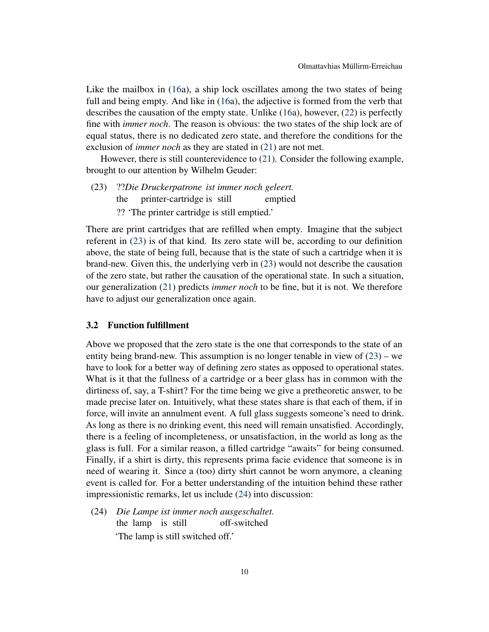Like the mailbox in [\(16a](#page-7-2)), a ship lock oscillates among the two states of being full and being empty. And like in [\(16a](#page-7-2)), the adjective is formed from the verb that describes the causation of the empty state. Unlike [\(16a](#page-7-2)), however, [\(22\)](#page-8-2) is perfectly fine with *immer noch*. The reason is obvious: the two states of the ship lock are of equal status, there is no dedicated zero state, and therefore the conditions for the exclusion of *immer noch* as they are stated in [\(21\)](#page-8-1) are not met.

However, there is still counterevidence to [\(21\)](#page-8-1). Consider the following example, brought to our attention by Wilhelm Geuder:

<span id="page-9-1"></span>(23) ??*Die Druckerpatrone ist immer noch geleert.* the printer-cartridge is still emptied ?? 'The printer cartridge is still emptied.'

There are print cartridges that are refilled when empty. Imagine that the subject referent in [\(23\)](#page-9-1) is of that kind. Its zero state will be, according to our definition above, the state of being full, because that is the state of such a cartridge when it is brand-new. Given this, the underlying verb in [\(23\)](#page-9-1) would not describe the causation of the zero state, but rather the causation of the operational state. In such a situation, our generalization [\(21\)](#page-8-1) predicts *immer noch* to be fine, but it is not. We therefore have to adjust our generalization once again.

# <span id="page-9-0"></span>3.2 Function fulfillment

Above we proposed that the zero state is the one that corresponds to the state of an entity being brand-new. This assumption is no longer tenable in view of  $(23)$  – we have to look for a better way of defining zero states as opposed to operational states. What is it that the fullness of a cartridge or a beer glass has in common with the dirtiness of, say, a T-shirt? For the time being we give a pretheoretic answer, to be made precise later on. Intuitively, what these states share is that each of them, if in force, will invite an annulment event. A full glass suggests someone's need to drink. As long as there is no drinking event, this need will remain unsatisfied. Accordingly, there is a feeling of incompleteness, or unsatisfaction, in the world as long as the glass is full. For a similar reason, a filled cartridge "awaits" for being consumed. Finally, if a shirt is dirty, this represents prima facie evidence that someone is in need of wearing it. Since a (too) dirty shirt cannot be worn anymore, a cleaning event is called for. For a better understanding of the intuition behind these rather impressionistic remarks, let us include [\(24\)](#page-9-2) into discussion:

<span id="page-9-2"></span>(24) *Die Lampe ist immer noch ausgeschaltet.* the lamp is still off-switched 'The lamp is still switched off.'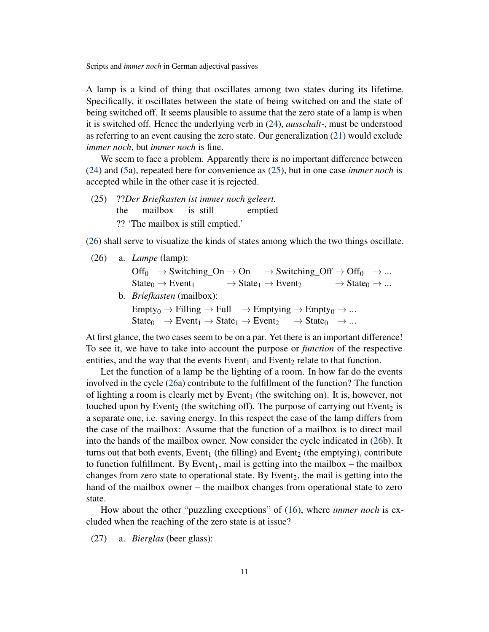A lamp is a kind of thing that oscillates among two states during its lifetime. Specifically, it oscillates between the state of being switched on and the state of being switched off. It seems plausible to assume that the zero state of a lamp is when it is switched off. Hence the underlying verb in [\(24\)](#page-9-2), *ausschalt-*, must be understood as referring to an event causing the zero state. Our generalization [\(21\)](#page-8-1) would exclude *immer noch*, but *immer noch* is fine.

We seem to face a problem. Apparently there is no important difference between [\(24\)](#page-9-2) and [\(5a](#page-2-3)), repeated here for convenience as [\(25\)](#page-10-0), but in one case *immer noch* is accepted while in the other case it is rejected.

<span id="page-10-0"></span>(25) ??*Der Briefkasten ist immer noch geleert.* the mailbox is still emptied ?? 'The mailbox is still emptied.'

[\(26\)](#page-10-1) shall serve to visualize the kinds of states among which the two things oscillate.

<span id="page-10-1"></span>(26) a. *Lampe* (lamp):

$$
\begin{array}{lcl} \mathrm{Off}_0 & \rightarrow \mathrm{Switching\_On} \rightarrow \mathrm{On} & \rightarrow \mathrm{Switching\_Off} \rightarrow \mathrm{Off}_0 & \rightarrow ... \\ \mathrm{State}_0 \rightarrow \mathrm{Event}_1 & \rightarrow \mathrm{State}_1 \rightarrow \mathrm{Event}_2 & \rightarrow \mathrm{State}_0 \rightarrow ... \end{array}
$$

b. *Briefkasten* (mailbox):

 $Empty_0 \rightarrow Filling \rightarrow Full \rightarrow Emptying \rightarrow Empty_0 \rightarrow ...$  $State_0 \rightarrow Event_1 \rightarrow State_1 \rightarrow Event_2 \rightarrow State_0 \rightarrow ...$ 

At first glance, the two cases seem to be on a par. Yet there is an important difference! To see it, we have to take into account the purpose or *function* of the respective entities, and the way that the events Event<sub>1</sub> and Event<sub>2</sub> relate to that function.

Let the function of a lamp be the lighting of a room. In how far do the events involved in the cycle [\(26a](#page-10-1)) contribute to the fulfillment of the function? The function of lighting a room is clearly met by Event<sub>1</sub> (the switching on). It is, however, not touched upon by Event<sub>2</sub> (the switching off). The purpose of carrying out Event<sub>2</sub> is a separate one, i.e. saving energy. In this respect the case of the lamp differs from the case of the mailbox: Assume that the function of a mailbox is to direct mail into the hands of the mailbox owner. Now consider the cycle indicated in [\(26b](#page-10-1)). It turns out that both events, Event<sub>1</sub> (the filling) and Event<sub>2</sub> (the emptying), contribute to function fulfillment. By Event<sub>1</sub>, mail is getting into the mailbox – the mailbox changes from zero state to operational state. By Event<sub>2</sub>, the mail is getting into the hand of the mailbox owner – the mailbox changes from operational state to zero state.

How about the other "puzzling exceptions" of [\(16\)](#page-7-2), where *immer noch* is excluded when the reaching of the zero state is at issue?

<span id="page-10-2"></span>(27) a. *Bierglas* (beer glass):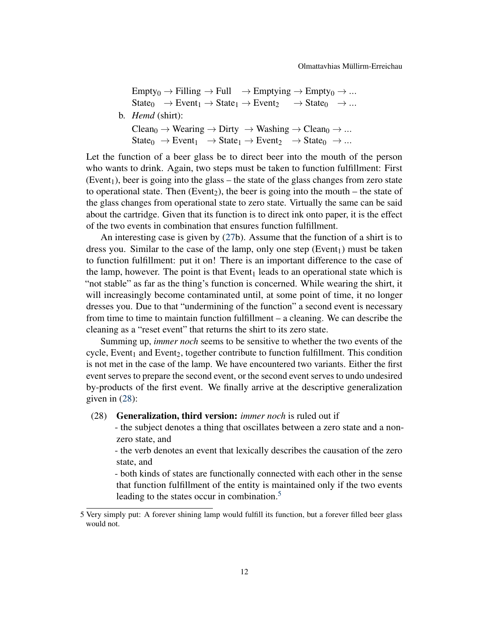$Empty_0 \rightarrow Filling \rightarrow Full \rightarrow Emptying \rightarrow Empty_0 \rightarrow ...$  $State_0 \rightarrow Event_1 \rightarrow State_1 \rightarrow Event_2 \rightarrow State_0 \rightarrow ...$ b. *Hemd* (shirt):  $\text{Clear}_0 \to \text{Wearing} \to \text{Dirty} \to \text{Washing} \to \text{Clear}_0 \to \dots$  $State_0 \rightarrow Event_1 \rightarrow State_1 \rightarrow Event_2 \rightarrow State_0 \rightarrow ...$ 

Let the function of a beer glass be to direct beer into the mouth of the person who wants to drink. Again, two steps must be taken to function fulfillment: First (Event<sub>1</sub>), beer is going into the glass – the state of the glass changes from zero state to operational state. Then (Event<sub>2</sub>), the beer is going into the mouth – the state of the glass changes from operational state to zero state. Virtually the same can be said about the cartridge. Given that its function is to direct ink onto paper, it is the effect of the two events in combination that ensures function fulfillment.

An interesting case is given by [\(27b](#page-10-2)). Assume that the function of a shirt is to dress you. Similar to the case of the lamp, only one step  $(Event<sub>1</sub>)$  must be taken to function fulfillment: put it on! There is an important difference to the case of the lamp, however. The point is that  $Event_1$  leads to an operational state which is "not stable" as far as the thing's function is concerned. While wearing the shirt, it will increasingly become contaminated until, at some point of time, it no longer dresses you. Due to that "undermining of the function" a second event is necessary from time to time to maintain function fulfillment – a cleaning. We can describe the cleaning as a "reset event" that returns the shirt to its zero state.

Summing up, *immer noch* seems to be sensitive to whether the two events of the cycle, Event<sub>1</sub> and Event<sub>2</sub>, together contribute to function fulfillment. This condition is not met in the case of the lamp. We have encountered two variants. Either the first event serves to prepare the second event, or the second event serves to undo undesired by-products of the first event. We finally arrive at the descriptive generalization given in [\(28\)](#page-11-0):

#### <span id="page-11-0"></span>(28) Generalization, third version: *immer noch* is ruled out if

- the subject denotes a thing that oscillates between a zero state and a nonzero state, and

- the verb denotes an event that lexically describes the causation of the zero state, and

- both kinds of states are functionally connected with each other in the sense that function fulfillment of the entity is maintained only if the two events leading to the states occur in combination. $5$ 

<span id="page-11-1"></span><sup>5</sup> Very simply put: A forever shining lamp would fulfill its function, but a forever filled beer glass would not.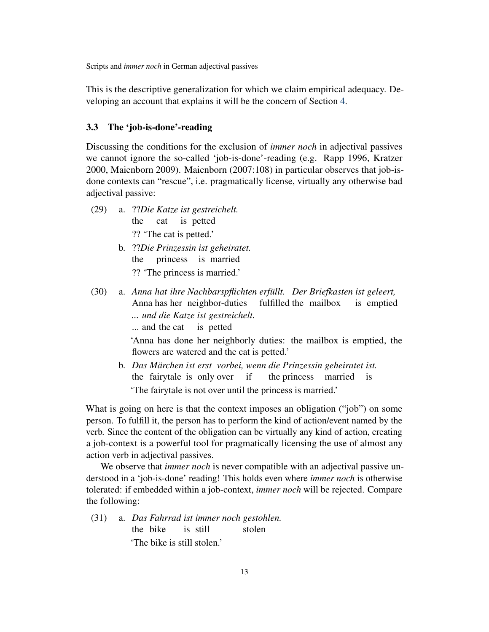This is the descriptive generalization for which we claim empirical adequacy. Developing an account that explains it will be the concern of Section [4.](#page-13-0)

# <span id="page-12-0"></span>3.3 The 'job-is-done'-reading

Discussing the conditions for the exclusion of *immer noch* in adjectival passives we cannot ignore the so-called 'job-is-done'-reading (e.g. Rapp 1996, Kratzer 2000, Maienborn 2009). Maienborn (2007:108) in particular observes that job-isdone contexts can "rescue", i.e. pragmatically license, virtually any otherwise bad adjectival passive:

- (29) a. ??*Die Katze ist gestreichelt.* the cat is petted ?? 'The cat is petted.'
	- b. ??*Die Prinzessin ist geheiratet.* the princess is married ?? 'The princess is married.'
- <span id="page-12-1"></span>(30) a. *Anna hat ihre Nachbarspflichten erfüllt. Der Briefkasten ist geleert,* Anna has her neighbor-duties fulfilled the mailbox is emptied *... und die Katze ist gestreichelt.* ... and the cat is petted

'Anna has done her neighborly duties: the mailbox is emptied, the flowers are watered and the cat is petted.'

b. *Das Märchen ist erst vorbei, wenn die Prinzessin geheiratet ist.* the fairytale is only over if the princess married is 'The fairytale is not over until the princess is married.'

What is going on here is that the context imposes an obligation ("job") on some person. To fulfill it, the person has to perform the kind of action/event named by the verb. Since the content of the obligation can be virtually any kind of action, creating a job-context is a powerful tool for pragmatically licensing the use of almost any action verb in adjectival passives.

We observe that *immer noch* is never compatible with an adjectival passive understood in a 'job-is-done' reading! This holds even where *immer noch* is otherwise tolerated: if embedded within a job-context, *immer noch* will be rejected. Compare the following:

(31) a. *Das Fahrrad ist immer noch gestohlen.* the bike is still stolen 'The bike is still stolen.'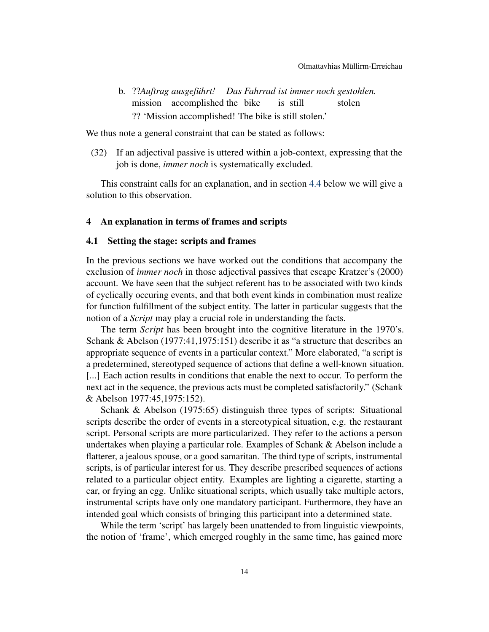b. ??*Auftrag ausgeführt! Das Fahrrad ist immer noch gestohlen.* mission accomplished the bike is still stolen ?? 'Mission accomplished! The bike is still stolen.'

We thus note a general constraint that can be stated as follows:

(32) If an adjectival passive is uttered within a job-context, expressing that the job is done, *immer noch* is systematically excluded.

This constraint calls for an explanation, and in section [4.4](#page-26-0) below we will give a solution to this observation.

#### <span id="page-13-0"></span>4 An explanation in terms of frames and scripts

# <span id="page-13-1"></span>4.1 Setting the stage: scripts and frames

In the previous sections we have worked out the conditions that accompany the exclusion of *immer noch* in those adjectival passives that escape Kratzer's (2000) account. We have seen that the subject referent has to be associated with two kinds of cyclically occuring events, and that both event kinds in combination must realize for function fulfillment of the subject entity. The latter in particular suggests that the notion of a *Script* may play a crucial role in understanding the facts.

The term *Script* has been brought into the cognitive literature in the 1970's. Schank & Abelson (1977:41,1975:151) describe it as "a structure that describes an appropriate sequence of events in a particular context." More elaborated, "a script is a predetermined, stereotyped sequence of actions that define a well-known situation. [...] Each action results in conditions that enable the next to occur. To perform the next act in the sequence, the previous acts must be completed satisfactorily." (Schank & Abelson 1977:45,1975:152).

Schank & Abelson (1975:65) distinguish three types of scripts: Situational scripts describe the order of events in a stereotypical situation, e.g. the restaurant script. Personal scripts are more particularized. They refer to the actions a person undertakes when playing a particular role. Examples of Schank & Abelson include a flatterer, a jealous spouse, or a good samaritan. The third type of scripts, instrumental scripts, is of particular interest for us. They describe prescribed sequences of actions related to a particular object entity. Examples are lighting a cigarette, starting a car, or frying an egg. Unlike situational scripts, which usually take multiple actors, instrumental scripts have only one mandatory participant. Furthermore, they have an intended goal which consists of bringing this participant into a determined state.

While the term 'script' has largely been unattended to from linguistic viewpoints, the notion of 'frame', which emerged roughly in the same time, has gained more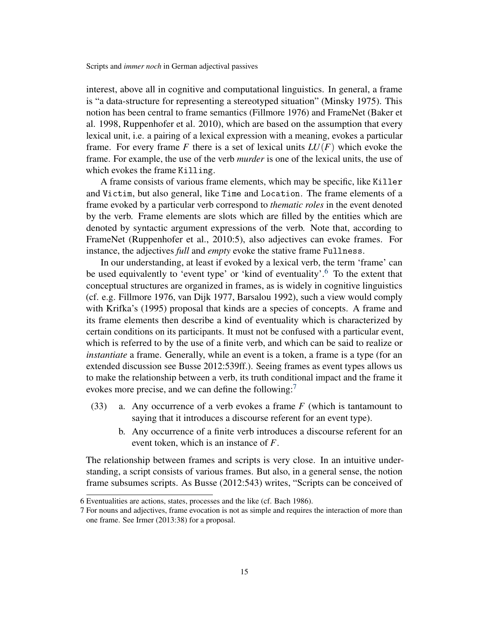interest, above all in cognitive and computational linguistics. In general, a frame is "a data-structure for representing a stereotyped situation" (Minsky 1975). This notion has been central to frame semantics (Fillmore 1976) and FrameNet (Baker et al. 1998, Ruppenhofer et al. 2010), which are based on the assumption that every lexical unit, i.e. a pairing of a lexical expression with a meaning, evokes a particular frame. For every frame *F* there is a set of lexical units  $LU(F)$  which evoke the frame. For example, the use of the verb *murder* is one of the lexical units, the use of which evokes the frame Killing.

A frame consists of various frame elements, which may be specific, like Killer and Victim, but also general, like Time and Location. The frame elements of a frame evoked by a particular verb correspond to *thematic roles* in the event denoted by the verb. Frame elements are slots which are filled by the entities which are denoted by syntactic argument expressions of the verb. Note that, according to FrameNet (Ruppenhofer et al., 2010:5), also adjectives can evoke frames. For instance, the adjectives *full* and *empty* evoke the stative frame Fullness.

In our understanding, at least if evoked by a lexical verb, the term 'frame' can be used equivalently to 'event type' or 'kind of eventuality'.<sup>[6](#page-14-0)</sup> To the extent that conceptual structures are organized in frames, as is widely in cognitive linguistics (cf. e.g. Fillmore 1976, van Dijk 1977, Barsalou 1992), such a view would comply with Krifka's (1995) proposal that kinds are a species of concepts. A frame and its frame elements then describe a kind of eventuality which is characterized by certain conditions on its participants. It must not be confused with a particular event, which is referred to by the use of a finite verb, and which can be said to realize or *instantiate* a frame. Generally, while an event is a token, a frame is a type (for an extended discussion see Busse 2012:539ff.). Seeing frames as event types allows us to make the relationship between a verb, its truth conditional impact and the frame it evokes more precise, and we can define the following:<sup>[7](#page-14-1)</sup>

- (33) a. Any occurrence of a verb evokes a frame *F* (which is tantamount to saying that it introduces a discourse referent for an event type).
	- b. Any occurrence of a finite verb introduces a discourse referent for an event token, which is an instance of *F*.

The relationship between frames and scripts is very close. In an intuitive understanding, a script consists of various frames. But also, in a general sense, the notion frame subsumes scripts. As Busse (2012:543) writes, "Scripts can be conceived of

<span id="page-14-0"></span><sup>6</sup> Eventualities are actions, states, processes and the like (cf. Bach 1986).

<span id="page-14-1"></span><sup>7</sup> For nouns and adjectives, frame evocation is not as simple and requires the interaction of more than one frame. See Irmer (2013:38) for a proposal.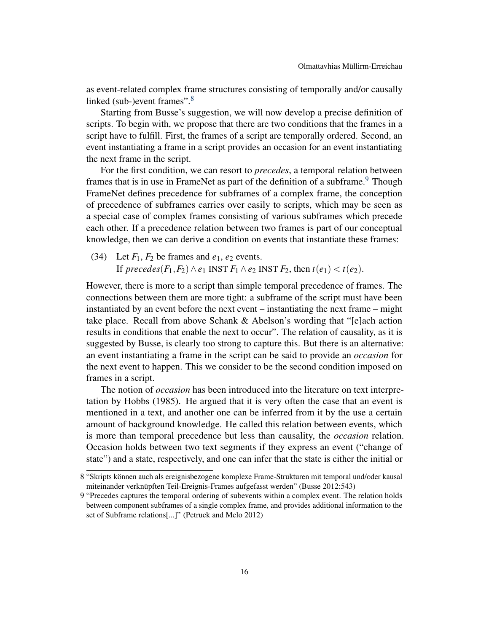as event-related complex frame structures consisting of temporally and/or causally linked (sub-)event frames".<sup>[8](#page-15-0)</sup>

Starting from Busse's suggestion, we will now develop a precise definition of scripts. To begin with, we propose that there are two conditions that the frames in a script have to fulfill. First, the frames of a script are temporally ordered. Second, an event instantiating a frame in a script provides an occasion for an event instantiating the next frame in the script.

For the first condition, we can resort to *precedes*, a temporal relation between frames that is in use in FrameNet as part of the definition of a subframe.<sup>[9](#page-15-1)</sup> Though FrameNet defines precedence for subframes of a complex frame, the conception of precedence of subframes carries over easily to scripts, which may be seen as a special case of complex frames consisting of various subframes which precede each other. If a precedence relation between two frames is part of our conceptual knowledge, then we can derive a condition on events that instantiate these frames:

(34) Let  $F_1$ ,  $F_2$  be frames and  $e_1$ ,  $e_2$  events. If *precedes*( $F_1, F_2$ ) ∧*e*<sub>1</sub> INST  $F_1$  ∧*e*<sub>2</sub> INST  $F_2$ , then  $t(e_1) < t(e_2)$ .

However, there is more to a script than simple temporal precedence of frames. The connections between them are more tight: a subframe of the script must have been instantiated by an event before the next event – instantiating the next frame – might take place. Recall from above Schank  $&$  Abelson's wording that "[e]ach action results in conditions that enable the next to occur". The relation of causality, as it is suggested by Busse, is clearly too strong to capture this. But there is an alternative: an event instantiating a frame in the script can be said to provide an *occasion* for the next event to happen. This we consider to be the second condition imposed on frames in a script.

The notion of *occasion* has been introduced into the literature on text interpretation by Hobbs (1985). He argued that it is very often the case that an event is mentioned in a text, and another one can be inferred from it by the use a certain amount of background knowledge. He called this relation between events, which is more than temporal precedence but less than causality, the *occasion* relation. Occasion holds between two text segments if they express an event ("change of state") and a state, respectively, and one can infer that the state is either the initial or

<span id="page-15-0"></span><sup>8</sup> "Skripts können auch als ereignisbezogene komplexe Frame-Strukturen mit temporal und/oder kausal miteinander verknüpften Teil-Ereignis-Frames aufgefasst werden" (Busse 2012:543)

<span id="page-15-1"></span><sup>9</sup> "Precedes captures the temporal ordering of subevents within a complex event. The relation holds between component subframes of a single complex frame, and provides additional information to the set of Subframe relations[...]" (Petruck and Melo 2012)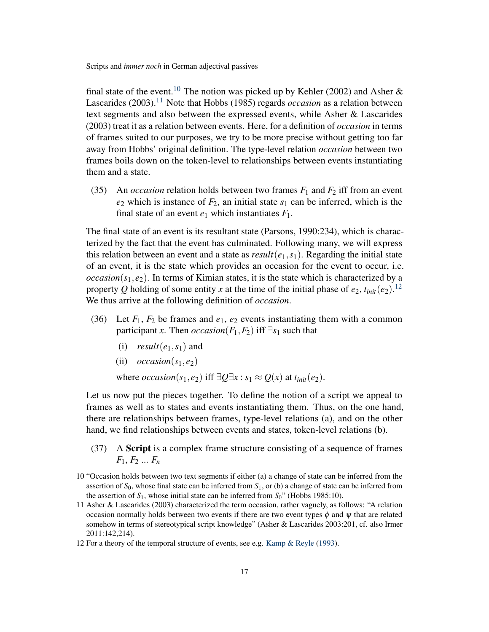final state of the event.<sup>[10](#page-16-0)</sup> The notion was picked up by Kehler (2002) and Asher & Lascarides (2003).<sup>[11](#page-16-1)</sup> Note that Hobbs (1985) regards *occasion* as a relation between text segments and also between the expressed events, while Asher & Lascarides (2003) treat it as a relation between events. Here, for a definition of *occasion* in terms of frames suited to our purposes, we try to be more precise without getting too far away from Hobbs' original definition. The type-level relation *occasion* between two frames boils down on the token-level to relationships between events instantiating them and a state.

(35) An *occasion* relation holds between two frames  $F_1$  and  $F_2$  iff from an event  $e_2$  which is instance of  $F_2$ , an initial state  $s_1$  can be inferred, which is the final state of an event  $e_1$  which instantiates  $F_1$ .

The final state of an event is its resultant state (Parsons, 1990:234), which is characterized by the fact that the event has culminated. Following many, we will express this relation between an event and a state as  $result(e_1, s_1)$ . Regarding the initial state of an event, it is the state which provides an occasion for the event to occur, i.e.  $\alpha$ *ccasion*( $s_1, e_2$ ). In terms of Kimian states, it is the state which is characterized by a property Q holding of some entity x at the time of the initial phase of  $e_2$ ,  $t_{init}(e_2)$ .<sup>[12](#page-16-2)</sup> We thus arrive at the following definition of *occasion*.

- (36) Let  $F_1$ ,  $F_2$  be frames and  $e_1$ ,  $e_2$  events instantiating them with a common participant *x*. Then *occasion*( $F_1$ , $F_2$ ) iff  $\exists s_1$  such that
	- (i)  $result(e_1, s_1)$  and
	- (ii)  $\operatorname{occasion}(s_1, e_2)$

where *occasion*( $s_1, e_2$ ) iff  $\exists Q \exists x : s_1 \approx Q(x)$  at  $t_{init}(e_2)$ .

Let us now put the pieces together. To define the notion of a script we appeal to frames as well as to states and events instantiating them. Thus, on the one hand, there are relationships between frames, type-level relations (a), and on the other hand, we find relationships between events and states, token-level relations (b).

<span id="page-16-3"></span>(37) A Script is a complex frame structure consisting of a sequence of frames *F*1, *F*<sup>2</sup> ... *F<sup>n</sup>*

<span id="page-16-0"></span><sup>10</sup> "Occasion holds between two text segments if either (a) a change of state can be inferred from the assertion of  $S_0$ , whose final state can be inferred from  $S_1$ , or (b) a change of state can be inferred from the assertion of  $S_1$ , whose initial state can be inferred from  $S_0$ " (Hobbs 1985:10).

<span id="page-16-1"></span><sup>11</sup> Asher & Lascarides (2003) characterized the term occasion, rather vaguely, as follows: "A relation occasion normally holds between two events if there are two event types  $\phi$  and  $\psi$  that are related somehow in terms of stereotypical script knowledge" (Asher & Lascarides 2003:201, cf. also Irmer 2011:142,214).

<span id="page-16-2"></span><sup>12</sup> For a theory of the temporal structure of events, see e.g. [Kamp & Reyle](#page-31-0) [\(1993\)](#page-31-0).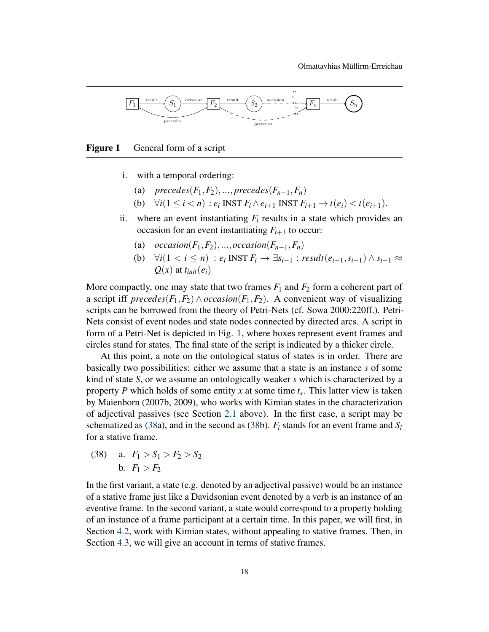

<span id="page-17-0"></span>Figure 1 General form of a script

- i. with a temporal ordering:
	- (a) *precedes*( $F_1, F_2$ ), ..., *precedes*( $F_{n-1}, F_n$ )
	- (b)  $\forall i (1 \leq i \leq n) : e_i \text{ INST } F_i \wedge e_{i+1} \text{ INST } F_{i+1} \rightarrow t(e_i) \leq t(e_{i+1}).$
- ii. where an event instantiating  $F_i$  results in a state which provides an occasion for an event instantiating  $F_{i+1}$  to occur:
	- (a)  $occasion(F_1, F_2), \ldots, occasion(F_{n-1}, F_n)$
	- (b)  $\forall i (1 \leq i \leq n) : e_i \text{ INST } F_i \rightarrow \exists s_{i-1} : \text{result}(e_{i-1}, s_{i-1}) \wedge s_{i-1} \approx$  $Q(x)$  at  $t_{init}(e_i)$

More compactly, one may state that two frames  $F_1$  and  $F_2$  form a coherent part of a script iff *precedes*( $F_1, F_2$ )  $\land$  *occasion*( $F_1, F_2$ ). A convenient way of visualizing scripts can be borrowed from the theory of Petri-Nets (cf. Sowa 2000:220ff.). Petri-Nets consist of event nodes and state nodes connected by directed arcs. A script in form of a Petri-Net is depicted in Fig. [1,](#page-17-0) where boxes represent event frames and circles stand for states. The final state of the script is indicated by a thicker circle.

At this point, a note on the ontological status of states is in order. There are basically two possibilities: either we assume that a state is an instance *s* of some kind of state *S*, or we assume an ontologically weaker *s* which is characterized by a property *P* which holds of some entity *x* at some time *t<sup>s</sup>* . This latter view is taken by Maienborn (2007b, 2009), who works with Kimian states in the characterization of adjectival passives (see Section [2.1](#page-3-1) above). In the first case, a script may be schematized as [\(38a](#page-17-1)), and in the second as [\(38b](#page-17-1)).  $F_i$  stands for an event frame and  $S_i$ for a stative frame.

<span id="page-17-1"></span>(38) a.  $F_1 > S_1 > F_2 > S_2$ b.  $F_1 > F_2$ 

In the first variant, a state (e.g. denoted by an adjectival passive) would be an instance of a stative frame just like a Davidsonian event denoted by a verb is an instance of an eventive frame. In the second variant, a state would correspond to a property holding of an instance of a frame participant at a certain time. In this paper, we will first, in Section [4.2,](#page-19-0) work with Kimian states, without appealing to stative frames. Then, in Section [4.3,](#page-24-0) we will give an account in terms of stative frames.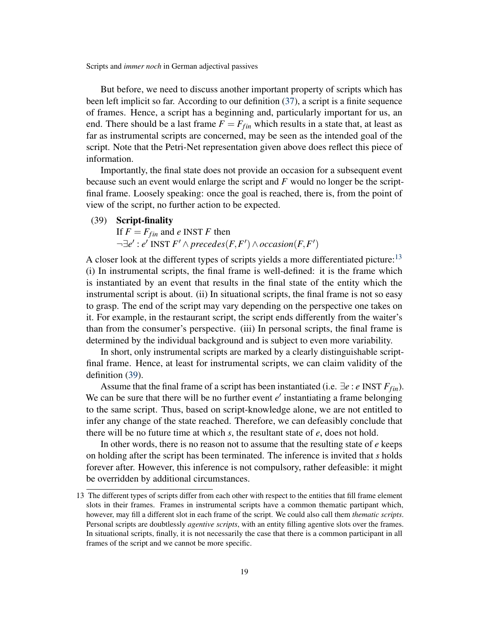But before, we need to discuss another important property of scripts which has been left implicit so far. According to our definition [\(37\)](#page-16-3), a script is a finite sequence of frames. Hence, a script has a beginning and, particularly important for us, an end. There should be a last frame  $F = F_{fin}$  which results in a state that, at least as far as instrumental scripts are concerned, may be seen as the intended goal of the script. Note that the Petri-Net representation given above does reflect this piece of information.

Importantly, the final state does not provide an occasion for a subsequent event because such an event would enlarge the script and *F* would no longer be the scriptfinal frame. Loosely speaking: once the goal is reached, there is, from the point of view of the script, no further action to be expected.

<span id="page-18-1"></span>(39) Script-finality

If  $F = F_{fin}$  and *e* INST *F* then  $\neg \exists e' : e' \text{ INST } F' \land precedes(F, F') \land occasion(F, F')$ 

A closer look at the different types of scripts yields a more differentiated picture: $13$ (i) In instrumental scripts, the final frame is well-defined: it is the frame which is instantiated by an event that results in the final state of the entity which the instrumental script is about. (ii) In situational scripts, the final frame is not so easy to grasp. The end of the script may vary depending on the perspective one takes on it. For example, in the restaurant script, the script ends differently from the waiter's than from the consumer's perspective. (iii) In personal scripts, the final frame is determined by the individual background and is subject to even more variability.

In short, only instrumental scripts are marked by a clearly distinguishable scriptfinal frame. Hence, at least for instrumental scripts, we can claim validity of the definition [\(39\)](#page-18-1).

Assume that the final frame of a script has been instantiated (i.e. ∃*e* : *e* INST *Ffin*). We can be sure that there will be no further event  $e'$  instantiating a frame belonging to the same script. Thus, based on script-knowledge alone, we are not entitled to infer any change of the state reached. Therefore, we can defeasibly conclude that there will be no future time at which *s*, the resultant state of *e*, does not hold.

In other words, there is no reason not to assume that the resulting state of *e* keeps on holding after the script has been terminated. The inference is invited that *s* holds forever after. However, this inference is not compulsory, rather defeasible: it might be overridden by additional circumstances.

<span id="page-18-0"></span><sup>13</sup> The different types of scripts differ from each other with respect to the entities that fill frame element slots in their frames. Frames in instrumental scripts have a common thematic partipant which, however, may fill a different slot in each frame of the script. We could also call them *thematic scripts*. Personal scripts are doubtlessly *agentive scripts*, with an entity filling agentive slots over the frames. In situational scripts, finally, it is not necessarily the case that there is a common participant in all frames of the script and we cannot be more specific.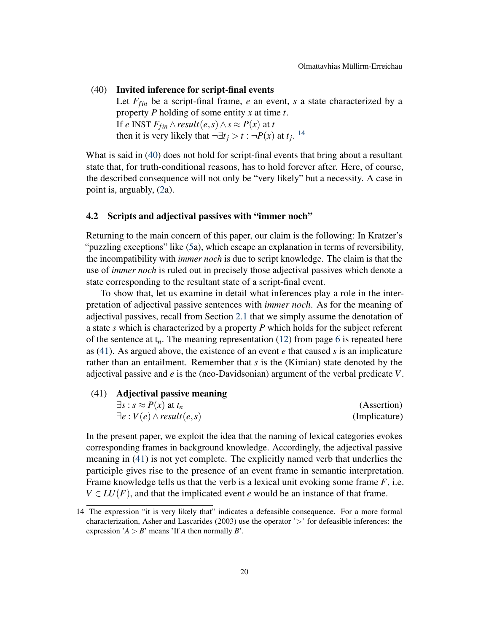<span id="page-19-2"></span>(40) Invited inference for script-final events

Let  $F_{fin}$  be a script-final frame,  $e$  an event,  $s$  a state characterized by a property *P* holding of some entity *x* at time *t*. If *e* INST  $F_{fin} \wedge result(e, s) \wedge s \approx P(x)$  at *t* then it is very likely that  $\neg \exists t_j > t : \neg P(x)$  at  $t_j$ . <sup>[14](#page-19-1)</sup>

What is said in [\(40\)](#page-19-2) does not hold for script-final events that bring about a resultant state that, for truth-conditional reasons, has to hold forever after. Here, of course, the described consequence will not only be "very likely" but a necessity. A case in point is, arguably, [\(2a](#page-1-2)).

# <span id="page-19-0"></span>4.2 Scripts and adjectival passives with "immer noch"

Returning to the main concern of this paper, our claim is the following: In Kratzer's "puzzling exceptions" like [\(5a](#page-2-3)), which escape an explanation in terms of reversibility, the incompatibility with *immer noch* is due to script knowledge. The claim is that the use of *immer noch* is ruled out in precisely those adjectival passives which denote a state corresponding to the resultant state of a script-final event.

To show that, let us examine in detail what inferences play a role in the interpretation of adjectival passive sentences with *immer noch*. As for the meaning of adjectival passives, recall from Section [2.1](#page-3-1) that we simply assume the denotation of a state *s* which is characterized by a property *P* which holds for the subject referent of the sentence at  $t_n$ . The meaning representation [\(12\)](#page-5-3) from page [6](#page-5-3) is repeated here as [\(41\)](#page-19-3). As argued above, the existence of an event *e* that caused *s* is an implicature rather than an entailment. Remember that *s* is the (Kimian) state denoted by the adjectival passive and *e* is the (neo-Davidsonian) argument of the verbal predicate *V*.

<span id="page-19-3"></span>

| (41) Adjectival passive meaning       |               |
|---------------------------------------|---------------|
| $\exists s : s \approx P(x)$ at $t_n$ | (Assertion)   |
| $\exists e: V(e) \wedge result(e,s)$  | (Implicature) |

In the present paper, we exploit the idea that the naming of lexical categories evokes corresponding frames in background knowledge. Accordingly, the adjectival passive meaning in [\(41\)](#page-19-3) is not yet complete. The explicitly named verb that underlies the participle gives rise to the presence of an event frame in semantic interpretation. Frame knowledge tells us that the verb is a lexical unit evoking some frame *F*, i.e.  $V \in LU(F)$ , and that the implicated event *e* would be an instance of that frame.

<span id="page-19-1"></span><sup>14</sup> The expression "it is very likely that" indicates a defeasible consequence. For a more formal characterization, Asher and Lascarides (2003) use the operator ' $>$ ' for defeasible inferences: the expression  $'A > B'$  means 'If *A* then normally *B*'.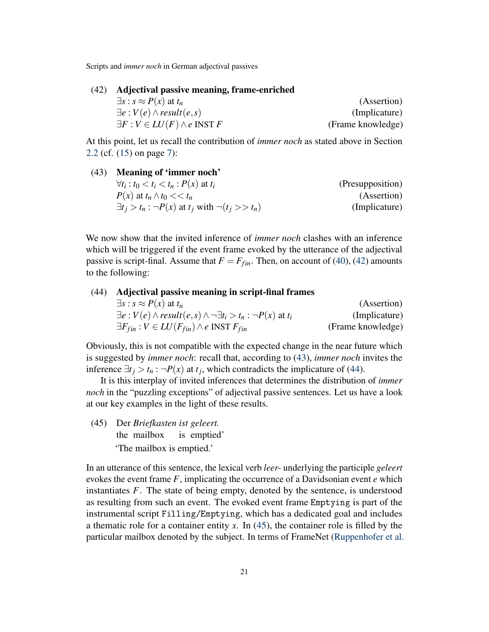<span id="page-20-0"></span>

| (42) Adjectival passive meaning, frame-enriched   |                   |
|---------------------------------------------------|-------------------|
| $\exists s : s \approx P(x)$ at $t_n$             | (Assertion)       |
| $\exists e: V(e) \wedge result(e,s)$              | (Implicature)     |
| $\exists F: V \in LU(F) \wedge e \text{ INST } F$ | (Frame knowledge) |

At this point, let us recall the contribution of *immer noch* as stated above in Section [2.2](#page-6-0) (cf. [\(15\)](#page-6-1) on page [7\)](#page-6-1):

<span id="page-20-1"></span>

| (43) Meaning of 'immer noch'                                     |                  |
|------------------------------------------------------------------|------------------|
| $\forall t_i : t_0 < t_i < t_n : P(x)$ at $t_i$                  | (Presupposition) |
| $P(x)$ at $t_n \wedge t_0 \ll t_n$                               | (Assertion)      |
| $\exists t_i > t_n : \neg P(x)$ at $t_i$ with $\neg(t_i >> t_n)$ | (Implicature)    |

We now show that the invited inference of *immer noch* clashes with an inference which will be triggered if the event frame evoked by the utterance of the adjectival passive is script-final. Assume that  $F = F_{fin}$ . Then, on account of [\(40\)](#page-19-2), [\(42\)](#page-20-0) amounts to the following:

# <span id="page-20-2"></span>(44) Adjectival passive meaning in script-final frames  $\exists s : s \approx P(x)$  at  $t_n$  (Assertion)  $\exists e : V(e) \land \text{result}(e, s) \land \neg \exists t_i > t_n : \neg P(x) \text{ at } t_i$  (Implicature)  $\exists F_{fin} : V \in LU(F_{fin}) \land e \text{ INST } F_{fin}$  (Frame knowledge)

Obviously, this is not compatible with the expected change in the near future which is suggested by *immer noch*: recall that, according to [\(43\)](#page-20-1), *immer noch* invites the inference  $\exists t_j > t_n : \neg P(x)$  at  $t_j$ , which contradicts the implicature of [\(44\)](#page-20-2).

It is this interplay of invited inferences that determines the distribution of *immer noch* in the "puzzling exceptions" of adjectival passive sentences. Let us have a look at our key examples in the light of these results.

<span id="page-20-3"></span>(45) Der *Briefkasten ist geleert.* the mailbox is emptied' 'The mailbox is emptied.'

In an utterance of this sentence, the lexical verb *leer-* underlying the participle *geleert* evokes the event frame *F*, implicating the occurrence of a Davidsonian event *e* which instantiates *F*. The state of being empty, denoted by the sentence, is understood as resulting from such an event. The evoked event frame Emptying is part of the instrumental script Filling/Emptying, which has a dedicated goal and includes a thematic role for a container entity *x*. In [\(45\)](#page-20-3), the container role is filled by the particular mailbox denoted by the subject. In terms of FrameNet [\(Ruppenhofer et al.](#page-33-0)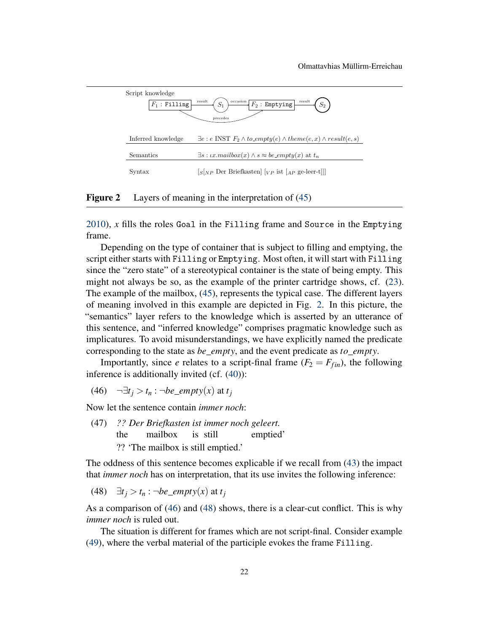

<span id="page-21-0"></span>Figure 2 Layers of meaning in the interpretation of [\(45\)](#page-20-3)

[2010\)](#page-33-0), *x* fills the roles Goal in the Filling frame and Source in the Emptying frame.

Depending on the type of container that is subject to filling and emptying, the script either starts with Filling or Emptying. Most often, it will start with Filling since the "zero state" of a stereotypical container is the state of being empty. This might not always be so, as the example of the printer cartridge shows, cf. [\(23\)](#page-9-1). The example of the mailbox, [\(45\)](#page-20-3), represents the typical case. The different layers of meaning involved in this example are depicted in Fig. [2.](#page-21-0) In this picture, the "semantics" layer refers to the knowledge which is asserted by an utterance of this sentence, and "inferred knowledge" comprises pragmatic knowledge such as implicatures. To avoid misunderstandings, we have explicitly named the predicate corresponding to the state as *be*\_*empty*, and the event predicate as *to*\_*empty*.

Importantly, since *e* relates to a script-final frame  $(F_2 = F_{fin})$ , the following inference is additionally invited (cf. [\(40\)](#page-19-2)):

<span id="page-21-1"></span>(46)  $\neg \exists t_i > t_n : \neg be\_empty(x)$  at  $t_i$ 

Now let the sentence contain *immer noch*:

<span id="page-21-3"></span>(47) *?? Der Briefkasten ist immer noch geleert.* the mailbox is still emptied' ?? 'The mailbox is still emptied.'

The oddness of this sentence becomes explicable if we recall from [\(43\)](#page-20-1) the impact that *immer noch* has on interpretation, that its use invites the following inference:

<span id="page-21-2"></span>(48)  $\exists t_j > t_n$  : ¬*be\_empty(x)* at  $t_j$ 

As a comparison of [\(46\)](#page-21-1) and [\(48\)](#page-21-2) shows, there is a clear-cut conflict. This is why *immer noch* is ruled out.

The situation is different for frames which are not script-final. Consider example [\(49\)](#page-22-0), where the verbal material of the participle evokes the frame Filling.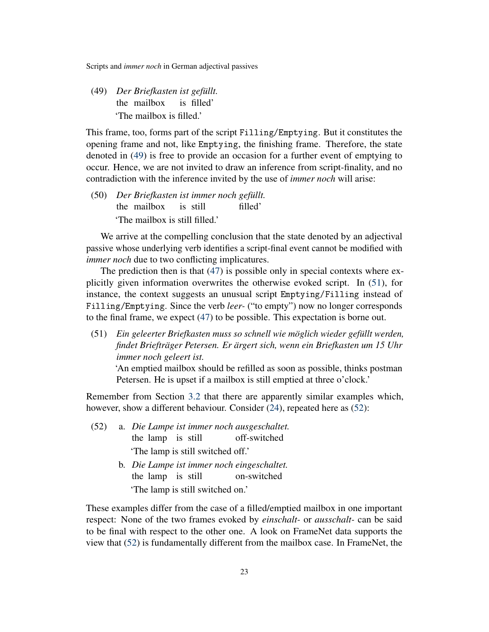<span id="page-22-0"></span>(49) *Der Briefkasten ist gefüllt.* the mailbox is filled' 'The mailbox is filled.'

This frame, too, forms part of the script Filling/Emptying. But it constitutes the opening frame and not, like Emptying, the finishing frame. Therefore, the state denoted in [\(49\)](#page-22-0) is free to provide an occasion for a further event of emptying to occur. Hence, we are not invited to draw an inference from script-finality, and no contradiction with the inference invited by the use of *immer noch* will arise:

(50) *Der Briefkasten ist immer noch gefüllt.* the mailbox is still filled' 'The mailbox is still filled.'

We arrive at the compelling conclusion that the state denoted by an adjectival passive whose underlying verb identifies a script-final event cannot be modified with *immer noch* due to two conflicting implicatures.

The prediction then is that [\(47\)](#page-21-3) is possible only in special contexts where explicitly given information overwrites the otherwise evoked script. In [\(51\)](#page-22-1), for instance, the context suggests an unusual script Emptying/Filling instead of Filling/Emptying. Since the verb *leer-* ("to empty") now no longer corresponds to the final frame, we expect [\(47\)](#page-21-3) to be possible. This expectation is borne out.

<span id="page-22-1"></span>(51) *Ein geleerter Briefkasten muss so schnell wie möglich wieder gefüllt werden, findet Briefträger Petersen. Er ärgert sich, wenn ein Briefkasten um 15 Uhr immer noch geleert ist.*

'An emptied mailbox should be refilled as soon as possible, thinks postman Petersen. He is upset if a mailbox is still emptied at three o'clock.'

Remember from Section [3.2](#page-9-0) that there are apparently similar examples which, however, show a different behaviour. Consider [\(24\)](#page-9-2), repeated here as [\(52\)](#page-22-2):

- <span id="page-22-2"></span>(52) a. *Die Lampe ist immer noch ausgeschaltet.* the lamp is still off-switched 'The lamp is still switched off.'
	- b. *Die Lampe ist immer noch eingeschaltet.* the lamp is still on-switched 'The lamp is still switched on.'

These examples differ from the case of a filled/emptied mailbox in one important respect: None of the two frames evoked by *einschalt-* or *ausschalt-* can be said to be final with respect to the other one. A look on FrameNet data supports the view that [\(52\)](#page-22-2) is fundamentally different from the mailbox case. In FrameNet, the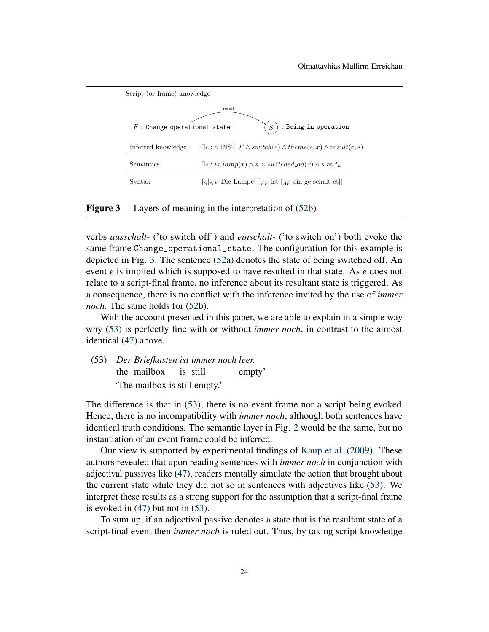

<span id="page-23-0"></span>Figure 3 Layers of meaning in the interpretation of  $(52b)$  $(52b)$ 

verbs *ausschalt-* ('to switch off') and *einschalt-* ('to switch on') both evoke the same frame Change\_operational\_state. The configuration for this example is depicted in Fig. [3.](#page-23-0) The sentence [\(52a](#page-22-2)) denotes the state of being switched off. An event *e* is implied which is supposed to have resulted in that state. As *e* does not relate to a script-final frame, no inference about its resultant state is triggered. As a consequence, there is no conflict with the inference invited by the use of *immer noch*. The same holds for [\(52b](#page-22-2)).

With the account presented in this paper, we are able to explain in a simple way why [\(53\)](#page-23-1) is perfectly fine with or without *immer noch*, in contrast to the almost identical [\(47\)](#page-21-3) above.

<span id="page-23-1"></span>(53) *Der Briefkasten ist immer noch leer.* the mailbox is still empty' 'The mailbox is still empty.'

The difference is that in [\(53\)](#page-23-1), there is no event frame nor a script being evoked. Hence, there is no incompatibility with *immer noch*, although both sentences have identical truth conditions. The semantic layer in Fig. [2](#page-21-0) would be the same, but no instantiation of an event frame could be inferred.

Our view is supported by experimental findings of [Kaup et al.](#page-32-0) [\(2009\)](#page-32-0). These authors revealed that upon reading sentences with *immer noch* in conjunction with adjectival passives like [\(47\)](#page-21-3), readers mentally simulate the action that brought about the current state while they did not so in sentences with adjectives like [\(53\)](#page-23-1). We interpret these results as a strong support for the assumption that a script-final frame is evoked in [\(47\)](#page-21-3) but not in [\(53\)](#page-23-1).

To sum up, if an adjectival passive denotes a state that is the resultant state of a script-final event then *immer noch* is ruled out. Thus, by taking script knowledge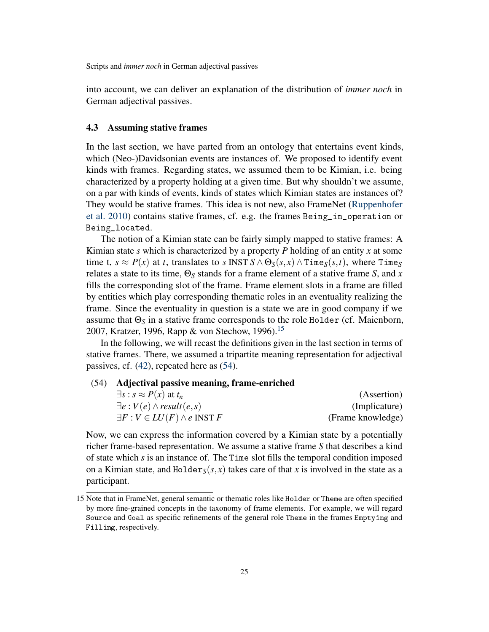into account, we can deliver an explanation of the distribution of *immer noch* in German adjectival passives.

# <span id="page-24-0"></span>4.3 Assuming stative frames

In the last section, we have parted from an ontology that entertains event kinds, which (Neo-)Davidsonian events are instances of. We proposed to identify event kinds with frames. Regarding states, we assumed them to be Kimian, i.e. being characterized by a property holding at a given time. But why shouldn't we assume, on a par with kinds of events, kinds of states which Kimian states are instances of? They would be stative frames. This idea is not new, also FrameNet [\(Ruppenhofer](#page-33-0) [et al.](#page-33-0) [2010\)](#page-33-0) contains stative frames, cf. e.g. the frames Being\_in\_operation or Being\_located.

The notion of a Kimian state can be fairly simply mapped to stative frames: A Kimian state *s* which is characterized by a property *P* holding of an entity *x* at some time t,  $s \approx P(x)$  at *t*, translates to *s* INST  $S \wedge \Theta_S(s, x) \wedge \text{Time}_S(s, t)$ , where Time<sub>S</sub> relates a state to its time, Θ*<sup>S</sup>* stands for a frame element of a stative frame *S*, and *x* fills the corresponding slot of the frame. Frame element slots in a frame are filled by entities which play corresponding thematic roles in an eventuality realizing the frame. Since the eventuality in question is a state we are in good company if we assume that Θ*<sup>S</sup>* in a stative frame corresponds to the role Holder (cf. Maienborn, 2007, Kratzer, 1996, Rapp & von Stechow, 1996).<sup>[15](#page-24-1)</sup>

In the following, we will recast the definitions given in the last section in terms of stative frames. There, we assumed a tripartite meaning representation for adjectival passives, cf. [\(42\)](#page-20-0), repeated here as [\(54\)](#page-24-2).

# <span id="page-24-2"></span>(54) Adjectival passive meaning, frame-enriched

| $\exists s : s \approx P(x)$ at $t_n$             | (Assertion)       |
|---------------------------------------------------|-------------------|
| $\exists e: V(e) \wedge result(e,s)$              | (Implicature)     |
| $\exists F: V \in LU(F) \wedge e \text{ INST } F$ | (Frame knowledge) |

Now, we can express the information covered by a Kimian state by a potentially richer frame-based representation. We assume a stative frame *S* that describes a kind of state which *s* is an instance of. The Time slot fills the temporal condition imposed on a Kimian state, and  $Holder_S(s, x)$  takes care of that x is involved in the state as a participant.

<span id="page-24-1"></span><sup>15</sup> Note that in FrameNet, general semantic or thematic roles like Holder or Theme are often specified by more fine-grained concepts in the taxonomy of frame elements. For example, we will regard Source and Goal as specific refinements of the general role Theme in the frames Emptying and Filling, respectively.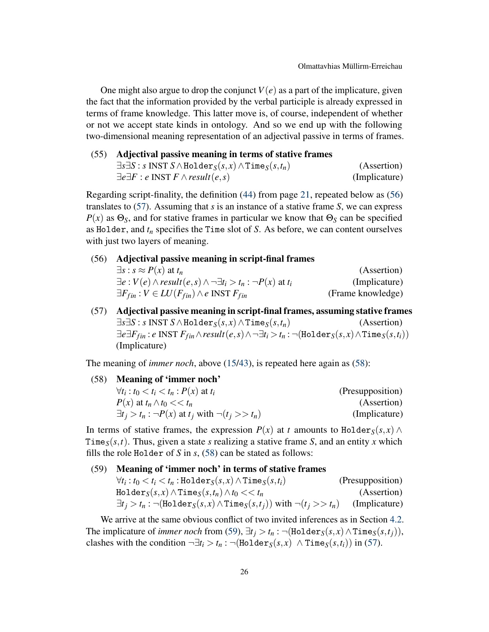One might also argue to drop the conjunct  $V(e)$  as a part of the implicature, given the fact that the information provided by the verbal participle is already expressed in terms of frame knowledge. This latter move is, of course, independent of whether or not we accept state kinds in ontology. And so we end up with the following two-dimensional meaning representation of an adjectival passive in terms of frames.

| (55) Adjectival passive meaning in terms of stative frames                                        |               |  |
|---------------------------------------------------------------------------------------------------|---------------|--|
| $\exists s \exists S : s \text{ INST } S \land \text{Holder}_S(s, x) \land \text{Time}_S(s, t_n)$ | (Assertion)   |  |
| $\exists e \exists F : e \text{ INST } F \wedge \text{result}(e, s)$                              | (Implicature) |  |

Regarding script-finality, the definition [\(44\)](#page-20-2) from page [21,](#page-20-2) repeated below as [\(56\)](#page-25-0) translates to [\(57\)](#page-25-1). Assuming that *s* is an instance of a stative frame *S*, we can express  $P(x)$  as  $\Theta_s$ , and for stative frames in particular we know that  $\Theta_s$  can be specified as Holder, and *t<sup>n</sup>* specifies the Time slot of *S*. As before, we can content ourselves with just two layers of meaning.

<span id="page-25-0"></span>(56) Adjectival passive meaning in script-final frames

| $\exists s : s \approx P(x)$ at $t_n$                                                    | (Assertion)       |
|------------------------------------------------------------------------------------------|-------------------|
| $\exists e: V(e) \wedge result(e, s) \wedge \neg \exists t_i > t_n : \neg P(x)$ at $t_i$ | (Implicature)     |
| $\exists F_{fin} : V \in LU(F_{fin}) \wedge e \text{ INST } F_{fin}$                     | (Frame knowledge) |

<span id="page-25-1"></span>(57) Adjectival passive meaning in script-final frames, assuming stative frames  $\exists s \exists S : s \text{ INST } S \land \text{Holder}_S(s, x) \land \text{Time}_S(s, t_n)$  (Assertion) ∃*e*∃*Ffin* : *e* INST *Ffin*∧*result*(*e*,*s*)∧¬∃*t<sup>i</sup>* >*t<sup>n</sup>* : ¬(Holder*S*(*s*, *x*)∧Time*S*(*s*,*ti*)) (Implicature)

The meaning of *immer noch*, above [\(15](#page-6-1)[/43\)](#page-20-1), is repeated here again as [\(58\)](#page-25-2):

<span id="page-25-2"></span>(58) Meaning of 'immer noch'  $\forall t_i : t_0 < t_i < t_n : P(x)$  at  $t_i$  (Presupposition)  $P(x)$  at  $t_n \wedge t_0 \ll t_n$  (Assertion)  $\exists t_i > t_n : \neg P(x)$  at  $t_i$  with  $\neg(t_i >> t_n)$  (Implicature)

In terms of stative frames, the expression  $P(x)$  at *t* amounts to Holder<sub>S</sub>(*s*, *x*) ∧ Time<sub>*S*</sub>(*s*,*t*). Thus, given a state *s* realizing a stative frame *S*, and an entity *x* which fills the role Holder of *S* in *s*, [\(58\)](#page-25-2) can be stated as follows:

# <span id="page-25-3"></span>(59) Meaning of 'immer noch' in terms of stative frames

| $\forall t_i : t_0 < t_i < t_n$ :Holder $_S(s,x) \wedge$ Time $_S(s,t_i)$                              | (Presupposition) |
|--------------------------------------------------------------------------------------------------------|------------------|
| $\text{Holder}_{S}(s, x) \wedge \text{Time}_{S}(s, t_n) \wedge t_0 << t_n$                             | (Assertion)      |
| $\exists t_i > t_n : \neg(\text{Holder}_S(s, x) \wedge \text{Time}_S(s, t_j))$ with $\neg(t_j >> t_n)$ | (Implicature)    |

We arrive at the same obvious conflict of two invited inferences as in Section [4.2.](#page-19-0) The implicature of *immer noch* from [\(59\)](#page-25-3),  $\exists t_i > t_n : \neg(\text{Holder}_S(s, x) \land \text{Time}_S(s, t_i)),$ clashes with the condition  $\neg \exists t_i > t_n : \neg (\text{Holder}_S(s, x) \land \text{Time}_S(s, t_i))$  in [\(57\)](#page-25-1).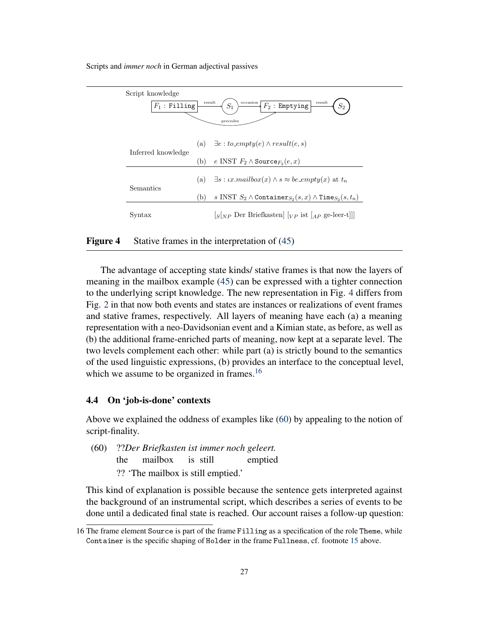| Script knowledge<br>occasion<br>result<br>result |     |                                                                                                                                         |
|--------------------------------------------------|-----|-----------------------------------------------------------------------------------------------------------------------------------------|
| $F_1$ : Filling                                  |     | $S_1$<br>$F_2$ : Emptying<br>$\mathcal{S}_2$                                                                                            |
|                                                  |     | precedes                                                                                                                                |
|                                                  |     | (a) $\exists e : to \_empty(e) \land result(e, s)$                                                                                      |
| Inferred knowledge                               | (b) | e INST $F_2 \wedge \text{Source}_{F_2}(e, x)$                                                                                           |
|                                                  |     |                                                                                                                                         |
| Semantics                                        | (a) | $\exists s : \iota x \mathit{.} mailbox(x) \land s \approx be\_empty(x)$ at $t_n$                                                       |
|                                                  | (b) | s INST $S_2 \wedge$ Container $s_2(s, x) \wedge$ Time $s_2(s, t_n)$                                                                     |
| Syntax                                           |     | $\left[\frac{1}{S\sqrt{np}}\right]$ Der Briefkasten $\left[\frac{1}{V\sqrt{p}}\right]$ ist $\left[\frac{1}{A\sqrt{p}}\right]$ ge-leer-t |

<span id="page-26-1"></span>Figure 4 Stative frames in the interpretation of [\(45\)](#page-20-3)

The advantage of accepting state kinds/ stative frames is that now the layers of meaning in the mailbox example [\(45\)](#page-20-3) can be expressed with a tighter connection to the underlying script knowledge. The new representation in Fig. [4](#page-26-1) differs from Fig. [2](#page-21-0) in that now both events and states are instances or realizations of event frames and stative frames, respectively. All layers of meaning have each (a) a meaning representation with a neo-Davidsonian event and a Kimian state, as before, as well as (b) the additional frame-enriched parts of meaning, now kept at a separate level. The two levels complement each other: while part (a) is strictly bound to the semantics of the used linguistic expressions, (b) provides an interface to the conceptual level, which we assume to be organized in frames.<sup>[16](#page-26-2)</sup>

#### <span id="page-26-0"></span>4.4 On 'job-is-done' contexts

Above we explained the oddness of examples like [\(60\)](#page-26-3) by appealing to the notion of script-finality.

<span id="page-26-3"></span>(60) ??*Der Briefkasten ist immer noch geleert.* the mailbox is still emptied ?? 'The mailbox is still emptied.'

This kind of explanation is possible because the sentence gets interpreted against the background of an instrumental script, which describes a series of events to be done until a dedicated final state is reached. Our account raises a follow-up question:

<span id="page-26-2"></span><sup>16</sup> The frame element Source is part of the frame Filling as a specification of the role Theme, while Container is the specific shaping of Holder in the frame Fullness, cf. footnote [15](#page-24-1) above.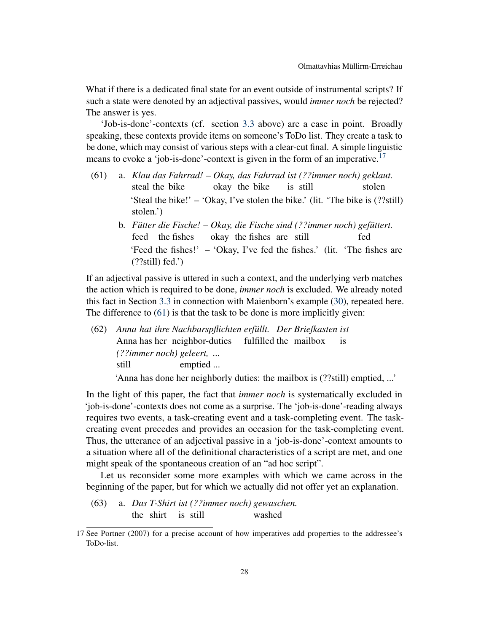What if there is a dedicated final state for an event outside of instrumental scripts? If such a state were denoted by an adjectival passives, would *immer noch* be rejected? The answer is yes.

'Job-is-done'-contexts (cf. section [3.3](#page-12-0) above) are a case in point. Broadly speaking, these contexts provide items on someone's ToDo list. They create a task to be done, which may consist of various steps with a clear-cut final. A simple linguistic means to evoke a 'job-is-done'-context is given in the form of an imperative.<sup>[17](#page-27-0)</sup>

- <span id="page-27-1"></span>(61) a. *Klau das Fahrrad! – Okay, das Fahrrad ist (??immer noch) geklaut.* steal the bike okay the bike is still stolen 'Steal the bike!' – 'Okay, I've stolen the bike.' (lit. 'The bike is (??still) stolen.')
	- b. *Fütter die Fische! Okay, die Fische sind (??immer noch) gefüttert.* feed the fishes okay the fishes are still fed 'Feed the fishes!' – 'Okay, I've fed the fishes.' (lit. 'The fishes are  $(??still) fed.'$

If an adjectival passive is uttered in such a context, and the underlying verb matches the action which is required to be done, *immer noch* is excluded. We already noted this fact in Section [3.3](#page-12-0) in connection with Maienborn's example [\(30\)](#page-12-1), repeated here. The difference to [\(61\)](#page-27-1) is that the task to be done is more implicitly given:

(62) *Anna hat ihre Nachbarspflichten erfüllt. Der Briefkasten ist* Anna has her neighbor-duties fulfilled the mailbox is *(??immer noch) geleert, ...* still emptied ...

'Anna has done her neighborly duties: the mailbox is (??still) emptied, ...'

In the light of this paper, the fact that *immer noch* is systematically excluded in 'job-is-done'-contexts does not come as a surprise. The 'job-is-done'-reading always requires two events, a task-creating event and a task-completing event. The taskcreating event precedes and provides an occasion for the task-completing event. Thus, the utterance of an adjectival passive in a 'job-is-done'-context amounts to a situation where all of the definitional characteristics of a script are met, and one might speak of the spontaneous creation of an "ad hoc script".

Let us reconsider some more examples with which we came across in the beginning of the paper, but for which we actually did not offer yet an explanation.

(63) a. *Das T-Shirt ist (??immer noch) gewaschen.* the shirt is still washed

<span id="page-27-0"></span><sup>17</sup> See Portner (2007) for a precise account of how imperatives add properties to the addressee's ToDo-list.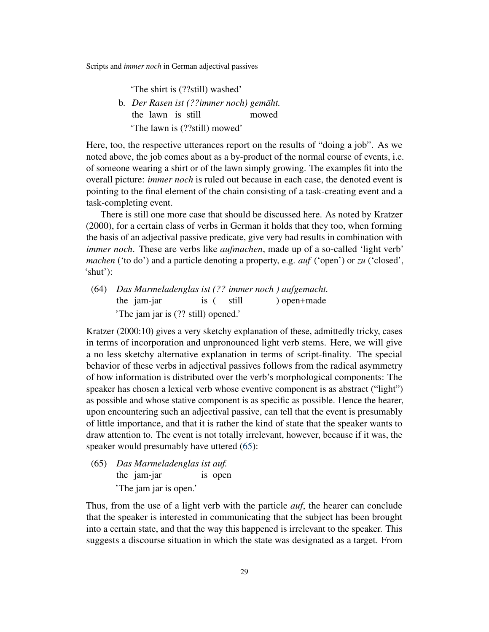'The shirt is (??still) washed'

b. *Der Rasen ist (??immer noch) gemäht.* the lawn is still mowed 'The lawn is (??still) mowed'

Here, too, the respective utterances report on the results of "doing a job". As we noted above, the job comes about as a by-product of the normal course of events, i.e. of someone wearing a shirt or of the lawn simply growing. The examples fit into the overall picture: *immer noch* is ruled out because in each case, the denoted event is pointing to the final element of the chain consisting of a task-creating event and a task-completing event.

There is still one more case that should be discussed here. As noted by Kratzer (2000), for a certain class of verbs in German it holds that they too, when forming the basis of an adjectival passive predicate, give very bad results in combination with *immer noch*. These are verbs like *aufmachen*, made up of a so-called 'light verb' *machen* ('to do') and a particle denoting a property, e.g. *auf* ('open') or *zu* ('closed', 'shut'):

<span id="page-28-1"></span>(64) *Das Marmeladenglas ist (?? immer noch ) aufgemacht.* the jam-jar is ( still ) open+made 'The jam jar is (?? still) opened.'

Kratzer (2000:10) gives a very sketchy explanation of these, admittedly tricky, cases in terms of incorporation and unpronounced light verb stems. Here, we will give a no less sketchy alternative explanation in terms of script-finality. The special behavior of these verbs in adjectival passives follows from the radical asymmetry of how information is distributed over the verb's morphological components: The speaker has chosen a lexical verb whose eventive component is as abstract ("light") as possible and whose stative component is as specific as possible. Hence the hearer, upon encountering such an adjectival passive, can tell that the event is presumably of little importance, and that it is rather the kind of state that the speaker wants to draw attention to. The event is not totally irrelevant, however, because if it was, the speaker would presumably have uttered  $(65)$ :

<span id="page-28-0"></span>(65) *Das Marmeladenglas ist auf.* the jam-jar is open 'The jam jar is open.'

Thus, from the use of a light verb with the particle *auf*, the hearer can conclude that the speaker is interested in communicating that the subject has been brought into a certain state, and that the way this happened is irrelevant to the speaker. This suggests a discourse situation in which the state was designated as a target. From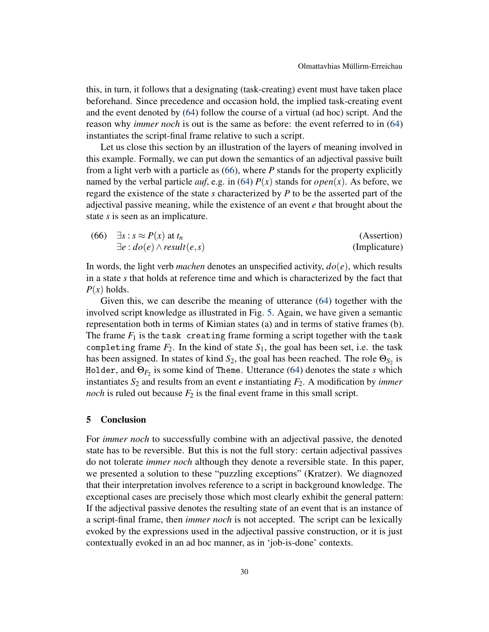this, in turn, it follows that a designating (task-creating) event must have taken place beforehand. Since precedence and occasion hold, the implied task-creating event and the event denoted by [\(64\)](#page-28-1) follow the course of a virtual (ad hoc) script. And the reason why *immer noch* is out is the same as before: the event referred to in [\(64\)](#page-28-1) instantiates the script-final frame relative to such a script.

Let us close this section by an illustration of the layers of meaning involved in this example. Formally, we can put down the semantics of an adjectival passive built from a light verb with a particle as [\(66\)](#page-29-1), where *P* stands for the property explicitly named by the verbal particle *auf*, e.g. in [\(64\)](#page-28-1)  $P(x)$  stands for *open*(*x*). As before, we regard the existence of the state *s* characterized by *P* to be the asserted part of the adjectival passive meaning, while the existence of an event *e* that brought about the state *s* is seen as an implicature.

<span id="page-29-1"></span>(66) 
$$
\exists s : s \approx P(x) \text{ at } t_n
$$
 (Assertion)  
 $\exists e : do(e) \land result(e, s)$  (Implicative)

In words, the light verb *machen* denotes an unspecified activity,  $do(e)$ , which results in a state *s* that holds at reference time and which is characterized by the fact that  $P(x)$  holds.

Given this, we can describe the meaning of utterance [\(64\)](#page-28-1) together with the involved script knowledge as illustrated in Fig. [5.](#page-30-0) Again, we have given a semantic representation both in terms of Kimian states (a) and in terms of stative frames (b). The frame  $F_1$  is the task creating frame forming a script together with the task completing frame  $F_2$ . In the kind of state  $S_1$ , the goal has been set, i.e. the task has been assigned. In states of kind  $S_2$ , the goal has been reached. The role  $\Theta_{S_2}$  is Holder, and Θ*F*<sup>2</sup> is some kind of Theme. Utterance [\(64\)](#page-28-1) denotes the state *s* which instantiates  $S_2$  and results from an event *e* instantiating  $F_2$ . A modification by *immer noch* is ruled out because  $F_2$  is the final event frame in this small script.

#### <span id="page-29-0"></span>5 Conclusion

For *immer noch* to successfully combine with an adjectival passive, the denoted state has to be reversible. But this is not the full story: certain adjectival passives do not tolerate *immer noch* although they denote a reversible state. In this paper, we presented a solution to these "puzzling exceptions" (Kratzer). We diagnozed that their interpretation involves reference to a script in background knowledge. The exceptional cases are precisely those which most clearly exhibit the general pattern: If the adjectival passive denotes the resulting state of an event that is an instance of a script-final frame, then *immer noch* is not accepted. The script can be lexically evoked by the expressions used in the adjectival passive construction, or it is just contextually evoked in an ad hoc manner, as in 'job-is-done' contexts.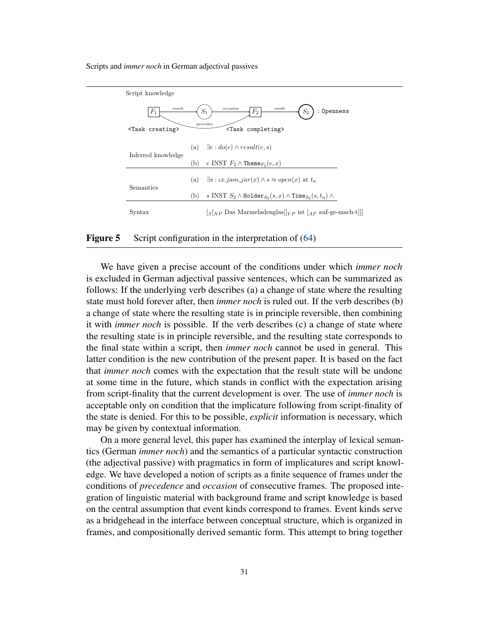| Script knowledge                             |     |                                                                                                                                                                                                   |
|----------------------------------------------|-----|---------------------------------------------------------------------------------------------------------------------------------------------------------------------------------------------------|
| result<br>$F_1$<br><task creating=""></task> |     | occasion<br>result<br>$S_1$<br>$S_2$<br>$F_2$<br>: Openness<br>precedes<br><task completing=""></task>                                                                                            |
| Inferred knowledge                           | (b) | (a) $\exists e : do(e) \wedge result(e, s)$<br>e INST $F_2 \wedge$ Theme $F_2(e, x)$                                                                                                              |
| Semantics                                    |     | (a) $\exists s : \iota x \cdot \iota am\_jar(x) \land s \approx open(x)$ at $t_n$                                                                                                                 |
| Syntax                                       | (b) | s INST $S_2 \wedge$ Holder $S_2(s, x) \wedge$ Time $S_2(s, t_n) \wedge$<br>$\left[\frac{s}{N}P\right]$ Das Marmeladenglas $\left[\frac{s}{p}\right]$ ist $\left[\frac{s}{p}\right]$ auf-ge-mach-t |

### <span id="page-30-0"></span>Figure 5 Script configuration in the interpretation of [\(64\)](#page-28-1)

We have given a precise account of the conditions under which *immer noch* is excluded in German adjectival passive sentences, which can be summarized as follows: If the underlying verb describes (a) a change of state where the resulting state must hold forever after, then *immer noch* is ruled out. If the verb describes (b) a change of state where the resulting state is in principle reversible, then combining it with *immer noch* is possible. If the verb describes (c) a change of state where the resulting state is in principle reversible, and the resulting state corresponds to the final state within a script, then *immer noch* cannot be used in general. This latter condition is the new contribution of the present paper. It is based on the fact that *immer noch* comes with the expectation that the result state will be undone at some time in the future, which stands in conflict with the expectation arising from script-finality that the current development is over. The use of *immer noch* is acceptable only on condition that the implicature following from script-finality of the state is denied. For this to be possible, *explicit* information is necessary, which may be given by contextual information.

On a more general level, this paper has examined the interplay of lexical semantics (German *immer noch*) and the semantics of a particular syntactic construction (the adjectival passive) with pragmatics in form of implicatures and script knowledge. We have developed a notion of scripts as a finite sequence of frames under the conditions of *precedence* and *occasion* of consecutive frames. The proposed integration of linguistic material with background frame and script knowledge is based on the central assumption that event kinds correspond to frames. Event kinds serve as a bridgehead in the interface between conceptual structure, which is organized in frames, and compositionally derived semantic form. This attempt to bring together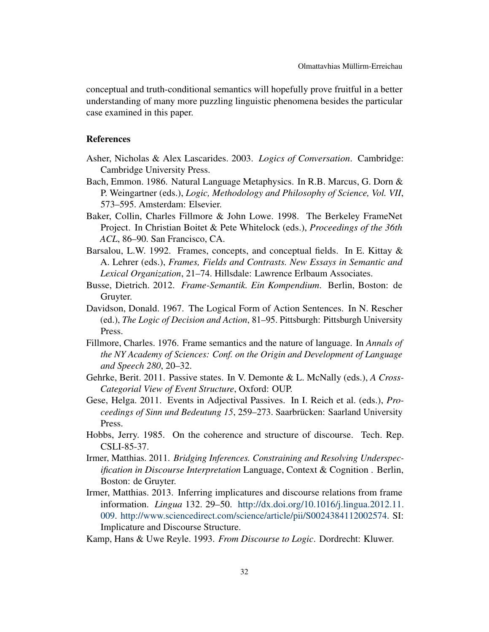conceptual and truth-conditional semantics will hopefully prove fruitful in a better understanding of many more puzzling linguistic phenomena besides the particular case examined in this paper.

#### References

- Asher, Nicholas & Alex Lascarides. 2003. *Logics of Conversation*. Cambridge: Cambridge University Press.
- Bach, Emmon. 1986. Natural Language Metaphysics. In R.B. Marcus, G. Dorn & P. Weingartner (eds.), *Logic, Methodology and Philosophy of Science, Vol. VII*, 573–595. Amsterdam: Elsevier.
- Baker, Collin, Charles Fillmore & John Lowe. 1998. The Berkeley FrameNet Project. In Christian Boitet & Pete Whitelock (eds.), *Proceedings of the 36th ACL*, 86–90. San Francisco, CA.
- Barsalou, L.W. 1992. Frames, concepts, and conceptual fields. In E. Kittay & A. Lehrer (eds.), *Frames, Fields and Contrasts. New Essays in Semantic and Lexical Organization*, 21–74. Hillsdale: Lawrence Erlbaum Associates.
- Busse, Dietrich. 2012. *Frame-Semantik. Ein Kompendium*. Berlin, Boston: de Gruyter.
- Davidson, Donald. 1967. The Logical Form of Action Sentences. In N. Rescher (ed.), *The Logic of Decision and Action*, 81–95. Pittsburgh: Pittsburgh University Press.
- Fillmore, Charles. 1976. Frame semantics and the nature of language. In *Annals of the NY Academy of Sciences: Conf. on the Origin and Development of Language and Speech 280*, 20–32.
- Gehrke, Berit. 2011. Passive states. In V. Demonte & L. McNally (eds.), *A Cross-Categorial View of Event Structure*, Oxford: OUP.
- Gese, Helga. 2011. Events in Adjectival Passives. In I. Reich et al. (eds.), *Proceedings of Sinn und Bedeutung 15*, 259–273. Saarbrücken: Saarland University Press.
- Hobbs, Jerry. 1985. On the coherence and structure of discourse. Tech. Rep. CSLI-85-37.
- Irmer, Matthias. 2011. *Bridging Inferences. Constraining and Resolving Underspecification in Discourse Interpretation* Language, Context & Cognition . Berlin, Boston: de Gruyter.
- Irmer, Matthias. 2013. Inferring implicatures and discourse relations from frame information. *Lingua* 132. 29–50. [http://dx.doi.org/10.1016/j.lingua.2012.11.](http://dx.doi.org/10.1016/j.lingua.2012.11.009) [009.](http://dx.doi.org/10.1016/j.lingua.2012.11.009) [http://www.sciencedirect.com/science/article/pii/S0024384112002574.](http://www.sciencedirect.com/science/article/pii/S0024384112002574) SI: Implicature and Discourse Structure.
- <span id="page-31-0"></span>Kamp, Hans & Uwe Reyle. 1993. *From Discourse to Logic*. Dordrecht: Kluwer.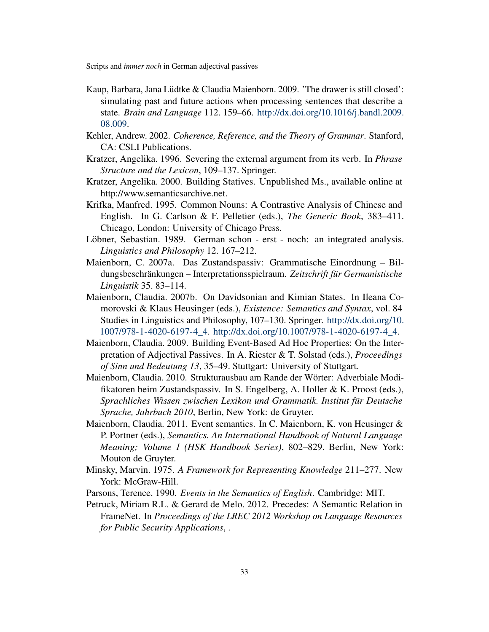- <span id="page-32-0"></span>Kaup, Barbara, Jana Lüdtke & Claudia Maienborn. 2009. 'The drawer is still closed': simulating past and future actions when processing sentences that describe a state. *Brain and Language* 112. 159–66. [http://dx.doi.org/10.1016/j.bandl.2009.](http://dx.doi.org/10.1016/j.bandl.2009.08.009) [08.009.](http://dx.doi.org/10.1016/j.bandl.2009.08.009)
- Kehler, Andrew. 2002. *Coherence, Reference, and the Theory of Grammar*. Stanford, CA: CSLI Publications.
- Kratzer, Angelika. 1996. Severing the external argument from its verb. In *Phrase Structure and the Lexicon*, 109–137. Springer.
- Kratzer, Angelika. 2000. Building Statives. Unpublished Ms., available online at http://www.semanticsarchive.net.
- Krifka, Manfred. 1995. Common Nouns: A Contrastive Analysis of Chinese and English. In G. Carlson & F. Pelletier (eds.), *The Generic Book*, 383–411. Chicago, London: University of Chicago Press.
- Löbner, Sebastian. 1989. German schon erst noch: an integrated analysis. *Linguistics and Philosophy* 12. 167–212.
- Maienborn, C. 2007a. Das Zustandspassiv: Grammatische Einordnung Bildungsbeschränkungen – Interpretationsspielraum. *Zeitschrift für Germanistische Linguistik* 35. 83–114.
- Maienborn, Claudia. 2007b. On Davidsonian and Kimian States. In Ileana Comorovski & Klaus Heusinger (eds.), *Existence: Semantics and Syntax*, vol. 84 Studies in Linguistics and Philosophy, 107–130. Springer. [http://dx.doi.org/10.](http://dx.doi.org/10.1007/978-1-4020-6197-4_4) [1007/978-1-4020-6197-4\\_4.](http://dx.doi.org/10.1007/978-1-4020-6197-4_4) [http://dx.doi.org/10.1007/978-1-4020-6197-4\\_4.](http://dx.doi.org/10.1007/978-1-4020-6197-4_4)
- Maienborn, Claudia. 2009. Building Event-Based Ad Hoc Properties: On the Interpretation of Adjectival Passives. In A. Riester & T. Solstad (eds.), *Proceedings of Sinn und Bedeutung 13*, 35–49. Stuttgart: University of Stuttgart.
- Maienborn, Claudia. 2010. Strukturausbau am Rande der Wörter: Adverbiale Modifikatoren beim Zustandspassiv. In S. Engelberg, A. Holler & K. Proost (eds.), *Sprachliches Wissen zwischen Lexikon und Grammatik. Institut für Deutsche Sprache, Jahrbuch 2010*, Berlin, New York: de Gruyter.
- Maienborn, Claudia. 2011. Event semantics. In C. Maienborn, K. von Heusinger & P. Portner (eds.), *Semantics. An International Handbook of Natural Language Meaning; Volume 1 (HSK Handbook Series)*, 802–829. Berlin, New York: Mouton de Gruyter.
- Minsky, Marvin. 1975. *A Framework for Representing Knowledge* 211–277. New York: McGraw-Hill.
- Parsons, Terence. 1990. *Events in the Semantics of English*. Cambridge: MIT.
- Petruck, Miriam R.L. & Gerard de Melo. 2012. Precedes: A Semantic Relation in FrameNet. In *Proceedings of the LREC 2012 Workshop on Language Resources for Public Security Applications*, .